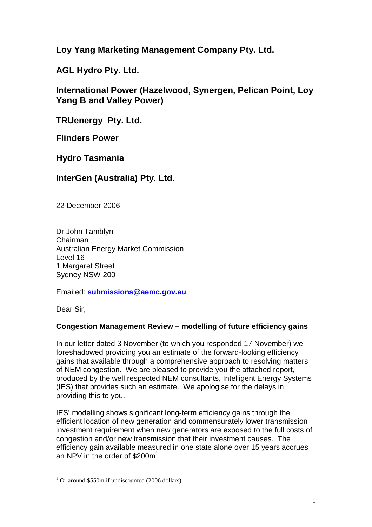**Loy Yang Marketing Management Company Pty. Ltd.**

**AGL Hydro Pty. Ltd.**

**International Power (Hazelwood, Synergen, Pelican Point, Loy Yang B and Valley Power)**

**TRUenergy Pty. Ltd.**

**Flinders Power**

**Hydro Tasmania**

# **InterGen (Australia) Pty. Ltd.**

22 December 2006

Dr John Tamblyn Chairman Australian Energy Market Commission Level 16 1 Margaret Street Sydney NSW 200

Emailed: **submissions@aemc.gov.au**

Dear Sir,

# **Congestion Management Review – modelling of future efficiency gains**

In our letter dated 3 November (to which you responded 17 November) we foreshadowed providing you an estimate of the forward-looking efficiency gains that available through <sup>a</sup> comprehensive approach to resolving matters of NEM congestion. We are pleased to provide you the attached report, produced by the well respected NEM consultants, Intelligent Energy Systems (IES) that provides such an estimate. We apologise for the delays in providing this to you.

IES' modelling shows significant long-term efficiency gains through the efficient location of new generation and commensurately lower transmission investment requirement when new generators are exposed to the full costs of congestion and/or new transmission that their investment causes. The efficiency gain available measured in one state alone over 15 years accrues an NPV in the order of \$200m<sup>1</sup> an NPV in the order of  $$200m<sup>1</sup>$ .

<sup>&</sup>lt;sup>1</sup> Or around \$550m if undiscounted (2006 dollars)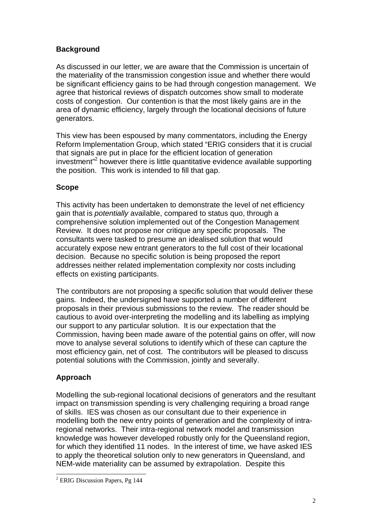# **Background**

As discussed in our letter, we are aware that the Commission is uncertain of the materiality of the transmission congestion issue and whether there would be significant efficiency gains to be had through congestion management. We agree that historical reviews of dispatch outcomes show small to moderate costs of congestion. Our contention is that the most likely gains are in the area of dynamic efficiency, largely through the locational decisions of future generators.

This view has been espoused by many commentators, including the Energy Reform Implementation Group, which stated "ERIG considers that it is crucial that signals are put in place for the efficient location of generation investment"<sup>2</sup> investment<sup>3</sup> however there is little quantitative evidence available supporting the position. This work is intended to fill that gap.

# **Scope** Scope

This activity has been undertaken to demonstrate the level of net efficiency gain that is potentially available, compared to status quo, through <sup>a</sup> comprehensive solution implemented out of the Congestion Management Review. It does not propose nor critique any specific proposals. The consultants were tasked to presume an idealised solution that would accurately expose new entrant generators to the full cost of their locational decision. Because no specific solution is being proposed the report addresses neither related implementation complexity nor costs including effects on existing participants.

The contributors are not proposing <sup>a</sup> specific solution that would deliver these gains. Indeed, the undersigned have supported <sup>a</sup> number of different proposals in their previous submissions to the review. The reader should be cautious to avoid over-interpreting the modelling and its labelling as implying our support to any particular solution. It is our expectation that the Commission, having been made aware of the potential gains on offer, will now move to analyse several solutions to identify which of these can capture the most efficiency gain, net of cost. The contributors will be pleased to discuss potential solutions with the Commission, jointly and severally.

# **Approach**

Modelling the sub-regional locational decisions of generators and the resultant impact on transmission spending is very challenging requiring <sup>a</sup> broad range of skills. IES was chosen as our consultant due to their experience in modelling both the new entry points of generation and the complexity of intraregional networks. Their intra-regional network model and transmission knowledge was however developed robustly only for the Queensland region, for which they identified 11 nodes. In the interest of time, we have asked IES to apply the theoretical solution only to new generators in Queensland, and NEM-wide materiality can be assumed by extrapolation. Despite this

<sup>&</sup>lt;sup>2</sup> ERIG Discussion Papers, Pg 144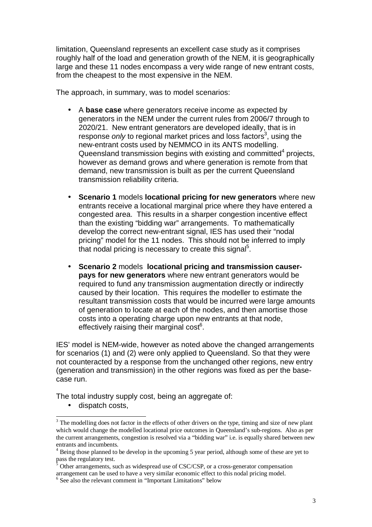limitation, Queensland represents an excellent case study as it comprises roughly half of the load and generation growth of the NEM, it is geographically large and these 11 nodes encompass <sup>a</sup> very wide range of new entrant costs, from the cheapest to the most expensive in the NEM.

The approach, in summary, was to model scenarios:

- A **base case** where generators receive income as expected by generators in the NEM under the current rules from 2006/7 through to 2020/21. New entrant generators are developed ideally, that is in response only to regional market prices and loss factors<sup>3</sup>, using the new-entrant costs used by NEMMCO in its ANTS modelling. Queensland transmission begins with existing and committed $^4$  projects, however as demand grows and where generation is remote from that demand, new transmission is built as per the current Queensland transmission reliability criteria.
	- • **Scenario 1** models **locational pricing for new generators** where new entrants receive <sup>a</sup> locational marginal price where they have entered <sup>a</sup> congested area. This results in <sup>a</sup> sharper congestion incentive effect than the existing "bidding war" arrangements. To mathematically develop the correct new-entrant signal, IES has used their "nodal pricing" model for the 11 nodes. This should not be inferred to imply that nodal pricing is necessary to create this signal<sup>5</sup>.
	- $\bullet$  **Scenario 2** models **locational pricing and transmission causer pays for new generators** where new entrant generators would be required to fund any transmission augmentation directly or indirectly caused by their location. This requires the modeller to estimate the resultant transmission costs that would be incurred were large amounts of generation to locate at each of the nodes, and then amortise those costs into <sup>a</sup> operating charge upon new entrants at that node, effectively raising their marginal  $\mathsf{cost}^6$ .

IES' model is NEM-wide, however as noted above the changed arrangements for scenarios (1) and (2) were only applied to Queensland. So that they were not counteracted by <sup>a</sup> response from the unchanged other regions, new entry (generation and transmission) in the other regions was fixed as per the base case run.

The total industry supply cost, being an aggregate of:

•dispatch costs,

 $\frac{5}{3}$  Other arrangements, such as widespread use of CSC/CSP, or a cross-generator compensation arrangemen<sup>t</sup> can be used to have <sup>a</sup> very similar economic effect to this nodal pricing model.

<sup>6</sup> See also the relevant comment in "Important Limitations" below

 $3$  The modelling does not factor in the effects of other drivers on the type, timing and size of new plant which would change the modelled locational price outcomes in Queensland's sub-regions. Also as per the current arrangements, congestion is resolved via <sup>a</sup> "bidding war" i.e. is equallyshared between new entrants and incumbents.

<sup>&</sup>lt;sup>4</sup> Being those planned to be develop in the upcoming 5 year period, although some of these are yet to pass the regulatory test.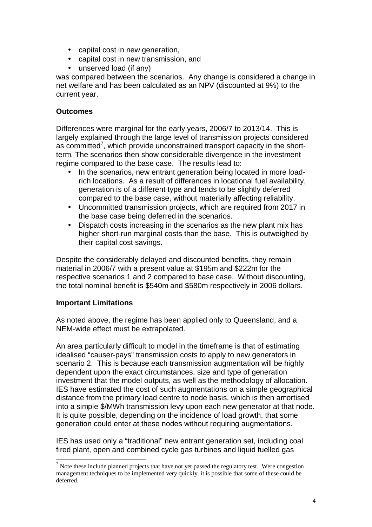- capital cost in new generation,
- capital cost in new transmission, and
	- unserved load (if any) unserved load (if any)

was compared between the scenarios. Any change is considered <sup>a</sup> change in net welfare and has been calculated as an NPV (discounted at 9%) to the current year.

# **Outcomes**

Differences were marginal for the early years, 2006/7 to 2013/14. This is largely explained through the large level of transmission projects considered as committed 7 as committed<sup>7</sup>, which provide unconstrained transport capacity in the shortterm. The scenarios then show considerable divergence in the investment regime compared to the base case. The results lead to:

- $\bullet$  In the scenarios, new entrant generation being located in more loadrich locations. As <sup>a</sup> result of differences in locational fuel availability, generation is of <sup>a</sup> different type and tends to be slightly deferred compared to the base case, without materially affecting reliability.
- Uncommitted transmission projects, which are required from 2017 in the base case being deferred in the scenarios.
	- • Dispatch costs increasing in the scenarios as the new plant mix has higher short-run marginal costs than the base. This is outweighed by their capital cost savings.

Despite the considerably delayed and discounted benefits, they remain material in 2006/7 with <sup>a</sup> present value at \$195m and \$222m for the respective scenarios 1 and 2 compared to base case. Without discounting, the total nominal benefit is \$540m and \$580m respectively in 2006 dollars.

# **Important Limitations**

As noted above, the regime has been applied only to Queensland, and <sup>a</sup> NEM-wide effect must be extrapolated.

An area particularly difficult to model in the timeframe is that of estimating idealised "causer-pays" transmission costs to apply to new generators in scenario 2. This is because each transmission augmentation will be highly dependent upon the exact circumstances, size and type of generation investment that the model outputs, as well as the methodology of allocation. IES have estimated the cost of such augmentations on <sup>a</sup> simple geographical distance from the primary load centre to node basis, which is then amortised into <sup>a</sup> simple \$/MWh transmission levy upon each new generator at that node. It is quite possible, depending on the incidence of load growth, that some generation could enter at these nodes without requiring augmentations.

IES has used only <sup>a</sup> "traditional" new entrant generation set, including coal fired plant, open and combined cycle gas turbines and liquid fuelled gas

 $<sup>7</sup>$  Note these include planned projects that have not yet passed the regulatory test. Were congestion</sup> managemen<sup>t</sup> techniques to be implemented very quickly, it is possible that some of these could be deferred.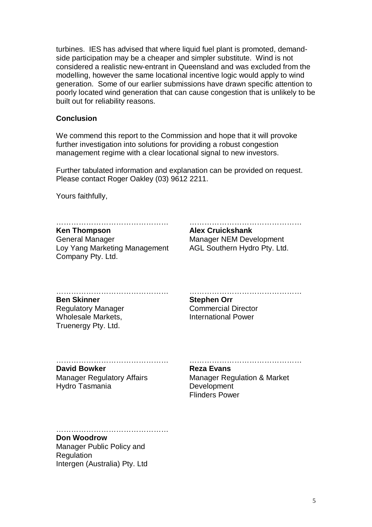turbines. IES has advised that where liquid fuel plant is promoted, demand side participation may be <sup>a</sup> cheaper and simpler substitute. Wind is not considered <sup>a</sup> realistic new-entrant in Queensland and was excluded from the modelling, however the same locational incentive logic would apply to wind generation. Some of our earlier submissions have drawn specific attention to poorly located wind generation that can cause congestion that is unlikely to be built out for reliability reasons.

### **Conclusion**

We commend this report to the Commission and hope that it will provoke further investigation into solutions for providing <sup>a</sup> robust congestion management regime with <sup>a</sup> clear locational signal to new investors.

Further tabulated information and explanation can be provided on request. Please contact Roger Oakley (03) 9612 2211.

Yours faithfully,

………………………………………

**Ken Thompson** General Manager Loy Yang Marketing Management AGL Southern Hydro Pty. Ltd. **Example 19 Thompson**<br> **Company Pty. Ltd.** Company Pty. Ltd. Company Pty. Ltd. **Alex Cruickshank** Manager NEM Development

……………………………………… **Ben Skinner** Regulatory Manager Wholesale Markets, **Examples Ben Skinner Stephen Orr<br>
Regulatory Manager Commercial Director<br>
Wholesale Markets, Truenergy Pty. Ltd. Stephen Orr** Regulatory Manager **Commercial Director** Wholesale Markets, The Markets and Muslim and Power

……………………………………… **David Bowker**

Manager Regulatory Affairs Hydro Tasmania **Development** 

# **Reza Evans**

manimum manusika manager Regulatory Affairs<br>
Hydro Tasmania **Exal Exans**<br>
Hydro Tasmania **Exal Development** Manager Regulation & Market Flinders Power

## **Don Woodrow**

………………………………………

Manager Public Policy and Regulation Intergen (Australia) Pty. Ltd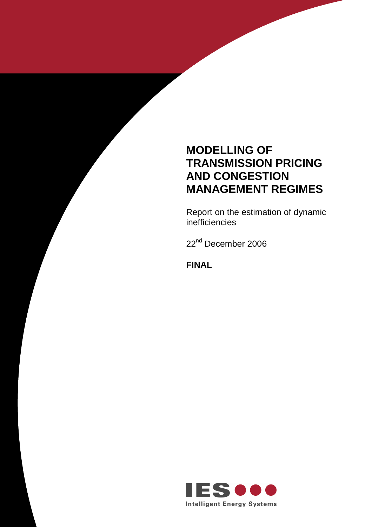# **MODELLING OF TRANSMISSION PRICING AND CONGESTION MANAGEMENT REGIMES**

Report on the estimation of dynamic<br>inefficiencies inefficiencies

<u>22</u> 22<sup>nd</sup> December 2006

**FINAL**

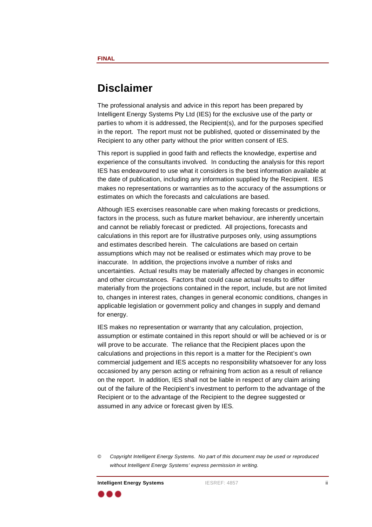# **Disclaimer**

The professional analysis and advice in this report has been prepared by Intelligent Energy Systems Pty Ltd (IES) for the exclusive use of the party or parties to whom it is addressed, the Recipient(s), and for the purposes specified in the report. The report must not be published, quoted or disseminated by the Recipient to any other party without the prior written consent of IES.

This report is supplied in good faith and reflects the knowledge, expertise and experience of the consultants involved. In conducting the analysis for this report IES has endeavoured to use what it considers is the best information available at the date of publication, including any information supplied by the Recipient. IES makes no representations or warranties as to the accuracy of the assumptions or estimates on which the forecasts and calculations are based.

Although IES exercises reasonable care when making forecasts or predictions, factors in the process, such as future market behaviour, are inherently uncertain and cannot be reliably forecast or predicted. All projections, forecasts and calculations in this report are for illustrative purposes only, using assumptions and estimates described herein. The calculations are based on certain assumptions which may not be realised or estimates which may prove to be inaccurate. In addition, the projections involve <sup>a</sup> number of risks and uncertainties. Actual results may be materially affected by changes in economic and other circumstances. Factors that could cause actual results to differ materially from the projections contained in the report, include, but are not limited to, changes in interest rates, changes in general economic conditions, changes in applicable legislation or government policy and changes in supply and demand for energy. The contract of  $f$  or energy.

> IES makes no representation or warranty that any calculation, projection, assumption or estimate contained in this report should or will be achieved or is or will prove to be accurate. The reliance that the Recipient places upon the calculations and projections in this report is <sup>a</sup> matter for the Recipient's own commercial judgement and IES accepts no responsibility whatsoever for any loss occasioned by any person acting or refraining from action as <sup>a</sup> result of reliance on the report. In addition, IES shall not be liable in respect of any claim arising out of the failure of the Recipient's investment to perform to the advantage of the Recipient or to the advantage of the Recipient to the degree suggested or assumed in any advice or forecast given by IES.

<sup>©</sup> Copyright Intelligent Energy Systems. No part of this document may be used or reproduced without Intelligent Energy Systems' express permission in writing.



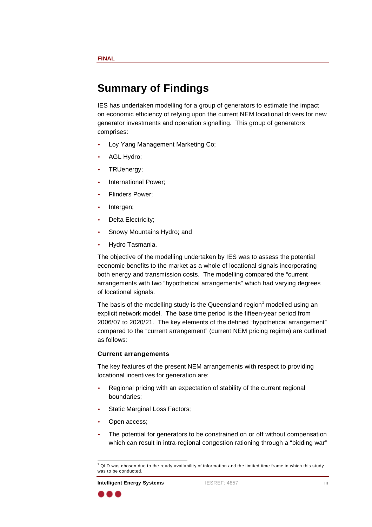# **Summary of Findings**

IES has undertaken modelling for <sup>a</sup> group of generators to estimate the impact on economic efficiency of relying upon the current NEM locational drivers for new generator investments and operation signalling. This group of generators comprises: which is a comprises:

- •Loy Yang Management Marketing Co;
- • AGL Hydro;
	- •**TRUenergy;** TRUenergy;
		- •International Power;
	- • Flinders Power;
		- •e and the line of the line of the line of the line of the line of the line of the line of the line of the line
- • Delta Electricity;
	- •Snowy Mountains Hydro; and
- •Hydro Tasmania.

The objective of the modelling undertaken by IES was to assess the potential economic benefits to the market as <sup>a</sup> whole of locational signals incorporating both energy and transmission costs. The modelling compared the "current arrangements with two "hypothetical arrangements" which had varying degrees of locational signals.

The basis of the modelling study is the Queensland region<sup>1</sup> modelled using an explicit network model. The base time period is the fifteen-year period from 2006/07 to 2020/21. The key elements of the defined "hypothetical arrangement" compared to the "current arrangement" (current NEM pricing regime) are outlined as follows:

### **Current arrangements**

The key features of the present NEM arrangements with respect to providing locational incentives for generation are:

- • Regional pricing with an expectation of stability of the current regional boundaries;
- •Static Marginal Loss Factors;
- •**Example 2018** Copen access;
	- • The potential for generators to be constrained on or off without compensation which can result in intra-regional congestion rationing through a "bidding war"

 $1$  QLD was chosen due to the ready availability of information and the limited time frame in which this study was to be conducted. was to be conducted.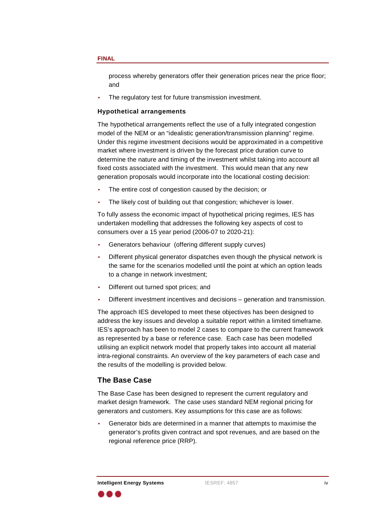and the contract of the contract of the contract of the contract of the contract of the contract of the contract of the contract of the contract of the contract of the contract of the contract of the contract of the contra

•The regulatory test for future transmission investment.

#### **Hypothetical arrangements**

**Interligentation of the membridigent interligent and the properation process near the prior standard and the NEW of Systems IESREF interval and the NEW of the NEW of the NEW of the NEW of the NEW of the NEW of the NEW of** The hypothetical arrangements reflect the use of <sup>a</sup> fully integrated congestion model of the NEM or an "idealistic generation/transmission planning" regime. Under this regime investment decisions would be approximated in <sup>a</sup> competitive market where investment is driven by the forecast price duration curve to determine the nature and timing of the investment whilst taking into account all fixed costs associated with the investment. This would mean that any new generation proposals would incorporate into the locational costing decision:

- •The entire cost of congestion caused by the decision; or
- •The likely cost of building out that congestion; whichever is lower.

To fully assess the economic impact of hypothetical pricing regimes, IES has undertaken modelling that addresses the following key aspects of cost to consumers over <sup>a</sup> 15 year period (2006-07 to 2020-21):

- •Generators behaviour (offering different supply curves)
- • Different physical generator dispatches even though the physical network is the same for the scenarios modelled until the point at which an option leads to <sup>a</sup> change in network investment;
- •Different out turned spot prices; and
- •Different investment incentives and decisions – generation and transmission.

The approach IES developed to meet these objectives has been designed to address the key issues and develop <sup>a</sup> suitable report within <sup>a</sup> limited timeframe. IES's approach has been to model 2 cases to compare to the current framework as represented by <sup>a</sup> base or reference case. Each case has been modelled utilising an explicit network model that properly takes into account all material intra-regional constraints. An overview of the key parameters of each caseand the results of the modelling is provided below.

### **The Base Case**

The Base Case has been designed to represent the current regulatory and market design framework. The case uses standard NEM regional pricing for generators and customers. Key assumptions for this case are as follows:

• Generator bids are determined in <sup>a</sup> manner that attempts to maximise the generator's profits given contract and spot revenues, and are based on the regional reference price (RRP).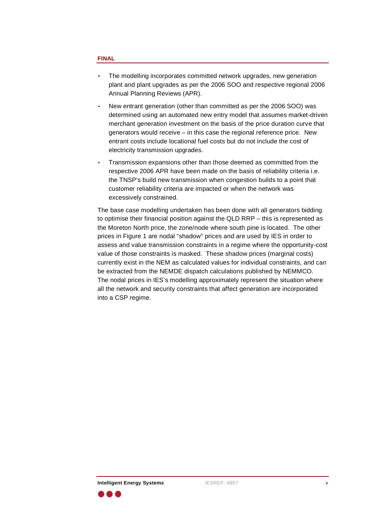- • The modelling incorporates committed network upgrades, new generation plant and plant upgrades as per the 2006 SOO and respective regional 2006 Annual Planning Reviews (APR).
- • New entrant generation (other than committed as per the 2006 SOO) was determined using an automated new entry model that assumes market-driven merchant generation investment on the basis of the price duration curve that generators would receive – in this case the regional reference price. New entrant costs include locational fuel costs but do not include the cost of electricity transmission upgrades.
- • Transmission expansions other than those deemed as committed from the respective 2006 APR have been made on the basis of reliability criteria i.e. the TNSP's build new transmission when congestion builds to <sup>a</sup> point that customer reliability criteria are impacted or when the network was excessively constrained.

The base case modelling undertaken has been done with all generators bidding to optimise their financial position against the QLD RRP – this is represented as the Moreton North price, the zone/node where south pine is located. The other prices in Figure 1 are nodal "shadow" prices and are used by IES in order to assess and value transmission constraints in <sup>a</sup> regime where the opportunity-cost value of those constraints is masked. These shadow prices (marginal costs) currently exist in the NEM as calculated values for individual constraints, and can be extracted from the NEMDE dispatch calculations published by NEMMCO. The nodal prices in IES's modelling approximately represent the situation where all the network and security constraints that affect generation are incorporated into <sup>a</sup> CSP regime.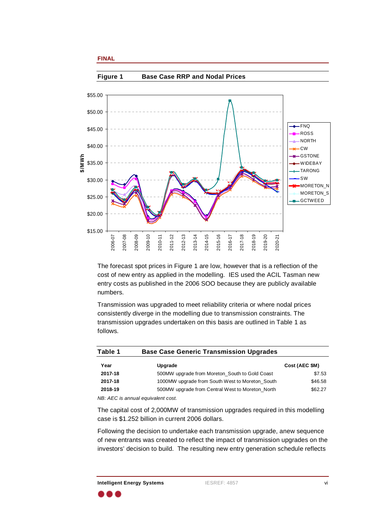

The forecast spot prices in Figure 1 are low, however that is <sup>a</sup> reflection of the cost of new entry as applied in the modelling. IES used the ACIL Tasman new entry costs as published in the 2006 SOO because they are publicly available numbers.

Transmission was upgraded to meet reliability criteria or where nodal prices consistently diverge in the modelling due to transmission constraints. The transmission upgrades undertaken on this basis are outlined in Table 1 as follows.

| <b>Base Case Generic Transmission Upgrades</b>                                                                                                                                                                                     | Table   |                |
|------------------------------------------------------------------------------------------------------------------------------------------------------------------------------------------------------------------------------------|---------|----------------|
| Upgrade                                                                                                                                                                                                                            |         | Cost (AEC \$M) |
| 500MW upgrade from Moreton_South to Gold Coast                                                                                                                                                                                     | 2017-18 | \$7.53         |
| 1000MW upgrade from South West to Moreton_South                                                                                                                                                                                    | 2017-18 | \$46.58        |
| 500MW upgrade from Central West to Moreton_North                                                                                                                                                                                   | 2018-19 | \$62.27        |
| <b>NID AFO</b> is a contract and interesting on the second of the second of the second of the second of the second of the second of the second of the second of the second of the second of the second of the second of the second |         |                |

NB: AEC is annual equivalent cost.

The capital cost of 2,000MW of transmission upgrades required in this modelling case is \$1.252 billion in current 2006 dollars.

Following the decision to undertake each transmission upgrade, anew sequence of new entrants was created to reflect the impact of transmission upgrades on the investors' decision to build. The resulting new entry generation schedule reflects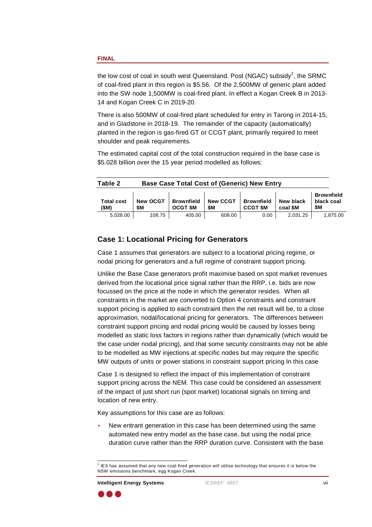the low cost of coal in south west Queensland. Post (NGAC) subsidy<sup>2</sup>, the SRMC of coal-fired plant in this region is \$5.56. Of the 2,500MW of generic plant added into the SW node 1,500MW is coal-fired plant. In effect <sup>a</sup> Kogan Creek B in 2013- 14 and Kogan Creek C in 2019-20.

> There is also 500MW of coal-fired plant scheduled for entry in Tarong in 2014-15, and in Gladstone in 2018-19. The remainder of the capacity (automatically) planted in the region is gas-fired GT or CCGT plant, primarily required to meet shoulder and peak requirements.

The estimated capital cost of the total construction required in the base case is \$5.028 billion over the 15 year period modelled as follows:

|                                           | <b>Base Case Total Cost of (Generic) New Entry</b> |        |             | Table 2  |
|-------------------------------------------|----------------------------------------------------|--------|-------------|----------|
| <b>Brownfie</b>                           |                                                    |        |             |          |
|                                           |                                                    |        |             |          |
|                                           |                                                    |        |             |          |
| 2,031.25 1,875.00<br>$\cap$ $\cap$ $\cap$ | 608.00                                             | 405.00 | 1 N 9 7 5 1 | 5.028.00 |

## **Case 1: Locational Pricing for Generators**

Case 1 assumes that generators are subject to <sup>a</sup> locational pricing regime, or nodal pricing for generators and <sup>a</sup> full regime of constraint support pricing.

Unlike the Base Case generators profit maximise based on spot market revenues derived from the locational price signal rather than the RRP, i.e. bids are now focussed on the price at the node in which the generator resides. When all constraints in the market are converted to Option 4 constraints and constraint support pricing is applied to each constraint then the net result will be, to <sup>a</sup> close approximation, nodal/locational pricing for generators. The differences between constraint support pricing and nodal pricing would be caused by losses being modelled as static loss factors in regions rather than dynamically (which would be the case under nodal pricing), and that some security constraints may not be able to be modelled as MW injections at specific nodes but may require the specific MW outputs of units or power stations in constraint support pricing In this case

Case 1 is designed to reflect the impact of this implementation of constraint support pricing across the NEM. This case could be considered an assessment of the impact of just short run (spot market) locational signals on timing and location of new entry.

Key assumptions for this case are as follows:

• New entrant generation in this case has been determined using the same automated new entry model as the base case, but using the nodal price duration curve rather than the RRP duration curve. Consistent with the base

<sup>2&</sup>lt;br>2<br>2  $1$  IES has assumed that any new coal-fired generation will utilise technology that ensures it is below the NSW emissions benchmark. egg Kogan Creek. NSW emissions benchmark, egg Kogan Creek.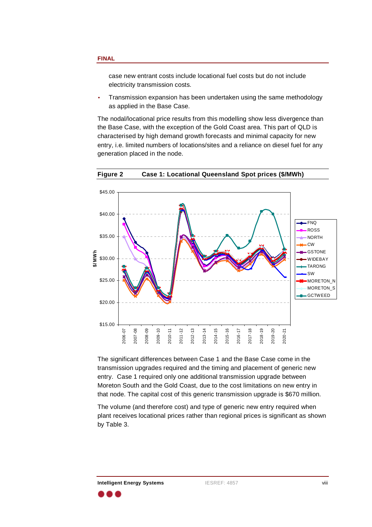case new entrant costs include locational fuel costs but do not include electricity transmission costs.

• Transmission expansion has been undertaken using the same methodology as applied in the Base Case.

The nodal/locational price results from this modelling show less divergence than the Base Case, with the exception of the Gold Coast area. This part of QLD is characterised by high demand growth forecasts and minimal capacity for new entry, i.e. limited numbers of locations/sites and <sup>a</sup> reliance on diesel fuel for any generation placed in the node.



**Figure 2 Case 1: Locational Queensland Spot prices (\$/MWh)**

The significant differences between Case 1 and the Base Case come in the transmission upgrades required and the timing and placement of generic new entry. Case 1 required only one additional transmission upgrade between Moreton South and the Gold Coast, due to the cost limitations on new entry in that node. The capital cost of this generic transmission upgrade is \$670 million.

The volume (and therefore cost) and type of generic new entry required when plant receives locational prices rather than regional prices is significant as shown by Table 3.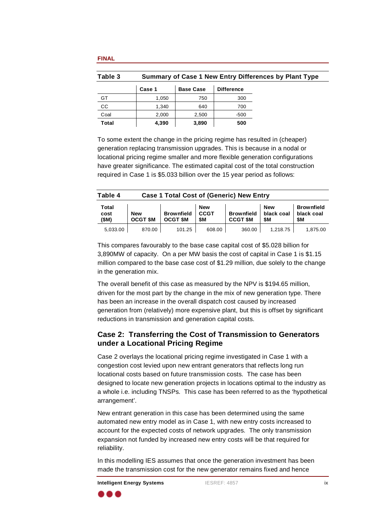| Summary of Case 1 New Entry Differences by Plant Type |                          |             | Table 3 |
|-------------------------------------------------------|--------------------------|-------------|---------|
| <b>Difference</b>                                     | <b>Base Case</b>         | <b>Case</b> |         |
| ັບບາ                                                  | 750<br>טט, ו             |             |         |
|                                                       |                          |             |         |
|                                                       | 2.500<br>2.000           |             |         |
| <b>EO</b>                                             | 4.390<br>່າ onn<br>ง.งฮบ |             | T-1-L   |

To some extent the change in the pricing regime has resulted in (cheaper) generation replacing transmission upgrades. This is because in <sup>a</sup> nodal or locational pricing regime smaller and more flexible generation configurations have greater significance. The estimated capital cost of the total construction required in Case 1 is \$5.033 billion over the 15 year period as follows:

|                                               | <b>Table</b> |                 |        | <b>Case 1 Total Cost of (Generic) New Entry</b> |                                      |        |                     |       |            |
|-----------------------------------------------|--------------|-----------------|--------|-------------------------------------------------|--------------------------------------|--------|---------------------|-------|------------|
|                                               |              |                 |        | New                                             |                                      |        | <b>New</b>          |       | Brownfield |
| New                                           |              | Brownfield CCGT |        |                                                 | Brownfield   black coal   black coal |        |                     |       |            |
| $\vert$ OCGT \$M $\vert$ OCGT \$M $\vert$ \$M |              |                 |        |                                                 | $CCGT$ SM $\frac{1}{3}$ SM           |        |                     | l cas |            |
| 10.00°،                                       | 5,033.00     |                 | 101.25 | 608.00                                          |                                      | 360.00 | $1,218.75$ 1,875.00 |       |            |

This compares favourably to the base case capital cost of \$5.028 billion for 3,890MW of capacity. On <sup>a</sup> per MW basis the cost of capital in Case 1 is \$1.15 million compared to the base case cost of \$1.29 million, due solely to the change in the generation mix.

> The overall benefit of this case as measured by the NPV is \$194.65 million, driven for the most part by the change in the mix of new generation type. There has been an increase in the overall dispatch cost caused by increased generation from (relatively) more expensive plant, but this is offset by significant reductions in transmission and generation capital costs.

# **Case 2: Transferring the Cost of Transmission to Generators under <sup>a</sup> Locational Pricing Regime**

**IF Sole 3 Examples 2 Examples 1 Example 10 Example 10 Example 10 Example 10 Control Control Control Control Control Control Control Control Control Control Control Control** Case 2 overlays the locational pricing regime investigated in Case 1 with <sup>a</sup> congestion cost levied upon new entrant generators that reflects long run locational costs based on future transmission costs. The case has been designed to locate new generation projects in locations optimal to the industry as <sup>a</sup> whole i.e. including TNSPs. This case has been referred to as the 'hypothetical arrangement'.

New entrant generation in this case has been determined using the same automated new entry model as in Case 1, with new entry costs increased to account for the expected costs of network upgrades. The only transmission expansion not funded by increased new entry costs will be that required for reliability. The contract of the contract of the contract of the contract of the contract of the contract of t

> In this modelling IES assumes that once the generation investment has been made the transmission cost for the new generator remains fixed and hence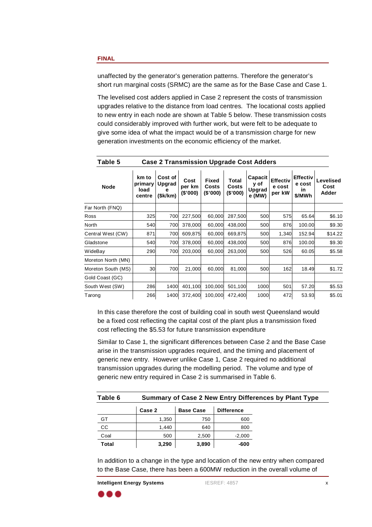short run marginal costs (SRMC) are the same as for the Base Case and Case 1.

| unaffected by the generator's generation patterns. Therefore the generator's<br>short run marginal costs (SRMC) are the same as for the Base Case and Case 1.                                                                                                                                                                                                                                                                                                                                                                                                                                                                        |                                                                                                                                                                                                                                                                                                                                                                                                                                                                     |
|--------------------------------------------------------------------------------------------------------------------------------------------------------------------------------------------------------------------------------------------------------------------------------------------------------------------------------------------------------------------------------------------------------------------------------------------------------------------------------------------------------------------------------------------------------------------------------------------------------------------------------------|---------------------------------------------------------------------------------------------------------------------------------------------------------------------------------------------------------------------------------------------------------------------------------------------------------------------------------------------------------------------------------------------------------------------------------------------------------------------|
| The levelised cost adders applied in Case 2 represent the costs of transmission<br>upgrades relative to the distance from load centres. The locational costs applied<br>to new entry in each node are shown at Table 5 below. These transmission costs<br>could considerably improved with further work, but were felt to be adequate to<br>give some idea of what the impact would be of a transmission charge for new<br>generation investments on the economic efficiency of the market.                                                                                                                                          |                                                                                                                                                                                                                                                                                                                                                                                                                                                                     |
| <b>Case 2 Transmission Upgrade Cost Adders</b>                                                                                                                                                                                                                                                                                                                                                                                                                                                                                                                                                                                       | Table 5                                                                                                                                                                                                                                                                                                                                                                                                                                                             |
|                                                                                                                                                                                                                                                                                                                                                                                                                                                                                                                                                                                                                                      | <b>Node</b>                                                                                                                                                                                                                                                                                                                                                                                                                                                         |
|                                                                                                                                                                                                                                                                                                                                                                                                                                                                                                                                                                                                                                      | Far North (FNQ)                                                                                                                                                                                                                                                                                                                                                                                                                                                     |
| 700 227,500 60,000 287,500<br>325<br>575<br>65.64                                                                                                                                                                                                                                                                                                                                                                                                                                                                                                                                                                                    | Ross                                                                                                                                                                                                                                                                                                                                                                                                                                                                |
| 700 378,000 60,000 438,000<br>540<br>876<br>100.00                                                                                                                                                                                                                                                                                                                                                                                                                                                                                                                                                                                   | North                                                                                                                                                                                                                                                                                                                                                                                                                                                               |
| 700 609,875 60,000 669,875<br>871<br>1,340<br>152.94<br>700 378,000 60,000 438,000<br>500<br>876<br>100.00                                                                                                                                                                                                                                                                                                                                                                                                                                                                                                                           | Central West (CW)<br>Gladstone                                                                                                                                                                                                                                                                                                                                                                                                                                      |
| 540<br>700 203,000 60,000 263,000<br>290<br>526<br>60.05                                                                                                                                                                                                                                                                                                                                                                                                                                                                                                                                                                             | WideBay                                                                                                                                                                                                                                                                                                                                                                                                                                                             |
|                                                                                                                                                                                                                                                                                                                                                                                                                                                                                                                                                                                                                                      | Moreton North (MN)                                                                                                                                                                                                                                                                                                                                                                                                                                                  |
| 700 21,000 60,000 81,000<br>162<br>18.49                                                                                                                                                                                                                                                                                                                                                                                                                                                                                                                                                                                             | Moreton South (MS)                                                                                                                                                                                                                                                                                                                                                                                                                                                  |
|                                                                                                                                                                                                                                                                                                                                                                                                                                                                                                                                                                                                                                      | Gold Coast (GC)                                                                                                                                                                                                                                                                                                                                                                                                                                                     |
| 1400 401,100 100,000 501,100<br>286<br>501<br>1000<br>57.20<br>266 1400 372,400 100,000 472,400<br>1000<br>472<br>53.93                                                                                                                                                                                                                                                                                                                                                                                                                                                                                                              | South West (SW)<br>Tarong                                                                                                                                                                                                                                                                                                                                                                                                                                           |
| In this case therefore the cost of building coal in south west Queensland would<br>be a fixed cost reflecting the capital cost of the plant plus a transmission fixed<br>cost reflecting the \$5.53 for future transmission expenditure<br>Similar to Case 1, the significant differences between Case 2 and the Base Case<br>arise in the transmission upgrades required, and the timing and placement of<br>generic new entry. However unlike Case 1, Case 2 required no additional<br>transmission upgrades during the modelling period. The volume and type of<br>generic new entry required in Case 2 is summarised in Table 6. |                                                                                                                                                                                                                                                                                                                                                                                                                                                                     |
| Summary of Case 2 New Entry Differences by Plant Type                                                                                                                                                                                                                                                                                                                                                                                                                                                                                                                                                                                | Table 6                                                                                                                                                                                                                                                                                                                                                                                                                                                             |
| Base Case Difference<br>Case 2                                                                                                                                                                                                                                                                                                                                                                                                                                                                                                                                                                                                       | $\begin{tabular}{lllllllllllllll} \toprule & $\mathcal{N}_1$ & $\mathcal{N}_2$ & $\mathcal{N}_3$ & $\mathcal{N}_4$ & $\mathcal{N}_5$ & $\mathcal{N}_6$ & $\mathcal{N}_7$ & $\mathcal{N}_8$ & $\mathcal{N}_9$ & $\mathcal{N}_9$ & $\mathcal{N}_9$ & $\mathcal{N}_9$ & $\mathcal{N}_9$ & $\mathcal{N}_9$ & $\mathcal{N}_9$ & $\mathcal{N}_9$ & $\mathcal{N}_9$ & $\mathcal{N}_9$ & $\mathcal{N}_9$ & $\mathcal{N}_9$ & $\mathcal{N}_9$ & $\mathcal{N}_9$ & $\mathcal$ |
| 1,350<br>750<br>600<br>640<br>1.440<br>800                                                                                                                                                                                                                                                                                                                                                                                                                                                                                                                                                                                           | GT<br>CC                                                                                                                                                                                                                                                                                                                                                                                                                                                            |
| 2,500<br>$-2,000$<br>500                                                                                                                                                                                                                                                                                                                                                                                                                                                                                                                                                                                                             | ______<br>Coal                                                                                                                                                                                                                                                                                                                                                                                                                                                      |
| 3,290<br>3,890<br>$-600$                                                                                                                                                                                                                                                                                                                                                                                                                                                                                                                                                                                                             | <b>Total</b>                                                                                                                                                                                                                                                                                                                                                                                                                                                        |
| In addition to a change in the type and location of the new entry when compared<br>to the Base Case, there has been a 600MW reduction in the overall volume of                                                                                                                                                                                                                                                                                                                                                                                                                                                                       |                                                                                                                                                                                                                                                                                                                                                                                                                                                                     |
| <b>IESREF: 4857</b>                                                                                                                                                                                                                                                                                                                                                                                                                                                                                                                                                                                                                  | <b>Intelligent Energy Systems</b>                                                                                                                                                                                                                                                                                                                                                                                                                                   |

| Table 6 |           | Summary of Case 2 New Entry Differences by Plant Type |  |
|---------|-----------|-------------------------------------------------------|--|
| Case 2  | Base Case | Difference                                            |  |
| 1.350   |           | 600                                                   |  |
| 1,440   |           | 800                                                   |  |
| งบเ     |           | $-2,000$<br>2.500                                     |  |
| 3,290   | 3,890     | -600                                                  |  |

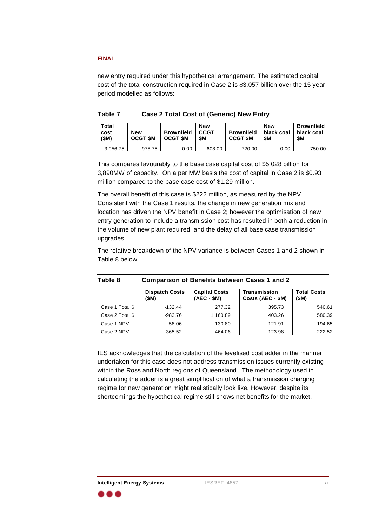new entry required under this hypothetical arrangement. The estimated capital cost of the total construction required in Case 2 is \$3.057 billion over the 15 year period modelled as follows:

| <b>Case 2 Total Cost of (Generic) New Entry</b>                    | Table 7 |                   |
|--------------------------------------------------------------------|---------|-------------------|
| ∣ New<br><b>New</b>                                                | Total   | <b>Brownfield</b> |
| Brownfield   CCGT<br>Brownfield   black coal   black coal<br>  New | cost    |                   |
| $\vert$ OCGT \$M $\vert$ OCGT \$M $\vert$ \$M<br>CCGT \$M \$M      | (SM)    | 0.55              |
| 720.00<br>con on<br>0.00<br>000.00                                 |         | 750.00            |

This compares favourably to the base case capital cost of \$5.028 billion for 3,890MW of capacity. On <sup>a</sup> per MW basis the cost of capital in Case 2 is \$0.93 million compared to the base case cost of \$1.29 million.

The overall benefit of this case is \$222 million, as measured by the NPV. Consistent with the Case 1 results, the change in new generation mix and location has driven the NPV benefit in Case 2; however the optimisation of new entry generation to include <sup>a</sup> transmission cost has resulted in both <sup>a</sup> reduction in the volume of new plant required, and the delay of all base case transmission upgrades.

The relative breakdown of the NPV variance is between Cases 1 and 2 shown in Table 8 below.

|        | <b>Comparison of Benefits between Cases 1 and 2</b>                 |              |                                | Table 8               |
|--------|---------------------------------------------------------------------|--------------|--------------------------------|-----------------------|
|        | <b>Total Costs</b><br>l Transmission<br>$\bigcap$ Costs (AEC - \$M) | $(AEC - $M)$ | Dispatch Costs   Capital Costs |                       |
| 540.61 | 395.73                                                              | 277.32       | $-132.44$                      | Case 1 T<br>⊥i otal º |
| 580.39 | 403.26                                                              | 1,160.89     | $-983.76$                      | Case 2 Total \$       |
| 194.65 | 121.91                                                              | 130.80       | <b>58.06</b>                   | Case 1 NP             |
| 222.52 | 123.98                                                              | 464.06       | $-365.52$                      | Case 2 NP             |

IES acknowledges that the calculation of the levelised cost adder in the manner undertaken for this case does not address transmission issues currently existing within the Ross and North regions of Queensland. The methodology used in calculating the adder is <sup>a</sup> great simplification of what <sup>a</sup> transmission charging regime for new generation might realistically look like. However, despite its shortcomings the hypothetical regime still shows net benefits for the market.

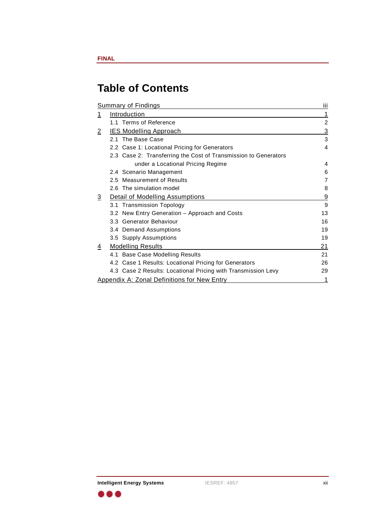# **Table of Contents**

| 21 |
|----|
|    |
|    |
|    |

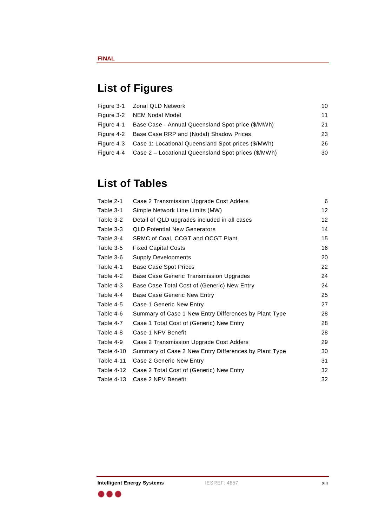# **List of Figures**

| 10                                                                    | Figure 3-1  Zonal QLD Network |  |  |  |
|-----------------------------------------------------------------------|-------------------------------|--|--|--|
|                                                                       | Figure 3-2 NEM Nodal Model    |  |  |  |
| Figure 4-1  Base Case - Annual Queensland Spot price (\$/MWh)<br>- 21 |                               |  |  |  |
| Figure 4-2 Base Case RRP and (Nodal) Shadow Prices                    |                               |  |  |  |
| Figure 4-3 Case 1: Locational Queensland Spot prices (\$/MWh)         |                               |  |  |  |
| Figure 4-4 Case 2 - Locational Queensland Spot prices (\$/MWh)<br>ാറ  |                               |  |  |  |

# **List of Tables**

| Case 2 Transmission Upgrade Cost Adders<br>Table 2-1               |    |
|--------------------------------------------------------------------|----|
| Table 3-1<br>Simple Network Line Limits (MW)                       | 12 |
| Table 3-2<br>Detail of QLD upgrades included in all cases          |    |
| <b>QLD Potential New Generators</b><br>Table 3-3                   | 14 |
| Table 3-4 SRMC of Coal, CCGT and OCGT Plant                        | 15 |
| Table 3-5<br><b>Fixed Capital Costs</b>                            | 16 |
| Table 3-6 Supply Developments                                      | 20 |
| Table 4-1 Base Case Spot Prices                                    | 22 |
| Table 4-2 Base Case Generic Transmission Upgrades                  | 24 |
| Base Case Total Cost of (Generic) New Entry<br>Table 4-3           | 24 |
| Table 4-4 Base Case Generic New Entry                              | 25 |
| Case 1 Generic New Entry<br>Table 4-5                              | 27 |
| Summary of Case 1 New Entry Differences by Plant Type<br>Table 4-6 | 28 |
| Table 4-7<br>Case 1 Total Cost of (Generic) New Entry              | 28 |
| Case 1 NPV Benefit<br>Table 4-8                                    | 28 |
| Table 4-9 Case 2 Transmission Upgrade Cost Adders                  | 29 |
| Table 4-10 Summary of Case 2 New Entry Differences by Plant Type   | 30 |
| Table 4-11 Case 2 Generic New Entry                                | 31 |
| Table 4-12 Case 2 Total Cost of (Generic) New Entry                |    |
| Table 4-13 Case 2 NPV Benefit                                      | 32 |



 $\bullet\bullet\bullet$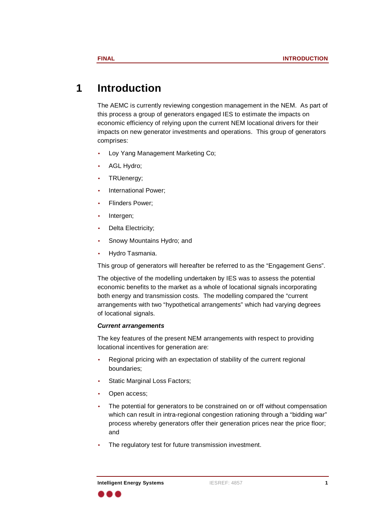# **1 Introduction**

The AEMC is currently reviewing congestion management in the NEM. As part of this process a group of generators engaged IES to estimate the impacts on economic efficiency of relying upon the current NEM locational drivers for their impacts on new generator investments and operations. This group of generators comprises: which is a comprises:

- •Loy Yang Management Marketing Co;
- •er and the control of the AGL Hydro;
	- •**TRUenergy;** TRUenergy;
		- •International Power;
	- • Flinders Power;
		- •e and the line of the line of the line of the line of the line of the line of the line of the line of the line
- • Delta Electricity;
	- •Snowy Mountains Hydro; and
- •Hydro Tasmania.

This group of generators will hereafter be referred to as the "Engagement Gens".

The objective of the modelling undertaken by IES was to assess the potential economic benefits to the market as <sup>a</sup> whole of locational signals incorporating both energy and transmission costs. The modelling compared the "current arrangements with two "hypothetical arrangements" which had varying degrees of locational signals.

### **Current arrangements**

The key features of the present NEM arrangements with respect to providing locational incentives for generation are:

- • Regional pricing with an expectation of stability of the current regional boundaries;
	- •Static Marginal Loss Factors;
- •extending the contract of the Copen access;
- • The potential for generators to be constrained on or off without compensation which can result in intra-regional congestion rationing through a "bidding war" process whereby generators offer their generation prices near the price floor; and the contract of the contract of the contract of the contract of the contract of the contract of the contract of the contract of the contract of the contract of the contract of the contract of the contract of the contra
	- •The regulatory test for future transmission investment.

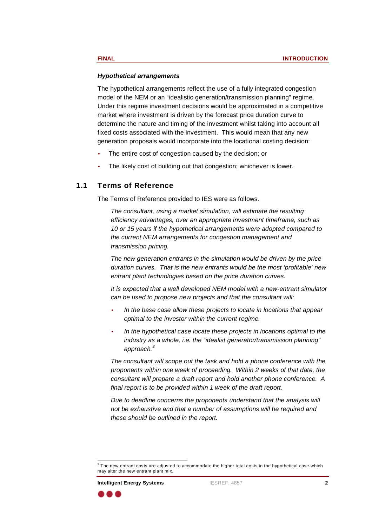#### **Hypothetical arrangements**

The hypothetical arrangements reflect the use of <sup>a</sup> fully integrated congestion model of the NEM or an "idealistic generation/transmission planning" regime. Under this regime investment decisions would be approximated in <sup>a</sup> competitive market where investment is driven by the forecast price duration curve to determine the nature and timing of the investment whilst taking into account all fixed costs associated with the investment. This would mean that any new generation proposals would incorporate into the locational costing decision:

- •The entire cost of congestion caused by the decision; or
- •The likely cost of building out that congestion; whichever is lower.

#### **1.1 Terms of Reference**

The Terms of Reference provided to IES were as follows.

The consultant, using <sup>a</sup> market simulation, will estimate the resulting efficiency advantages, over an appropriate investment timeframe, such as 10 or 15 years if the hypothetical arrangements were adopted compared to the current NEM arrangements for congestion management and transmission pricing.

> The new generation entrants in the simulation would be driven by the price duration curves. That is the new entrants would be the most 'profitable' new entrant plant technologies based on the price duration curves.

> It is expected that <sup>a</sup> well developed NEM model with <sup>a</sup> new-entrant simulator can be used to propose new projects and that the consultant will:

- • In the base case allow these projects to locate in locations that appear optimal to the investor within the current regime.
- • In the hypothetical case locate these projects in locations optimal to the industry as <sup>a</sup> whole, i.e. the "idealist generator/transmission planning" approach. $^3$

The consultant will scope out the task and hold <sup>a</sup> phone conference with the proponents within one week of proceeding. Within 2 weeks of that date, the consultant will prepare <sup>a</sup> draft report and hold another phone conference. A final report is to be provided within 1 week of the draft report.

Due to deadline concerns the proponents understand that the analysis will not be exhaustive and that <sup>a</sup> number of assumptions will be required and these should be outlined in the report.



 $3$  The new entrant costs are adjusted to accommodate the higher total costs in the hypothetical case-which may alter the new entrant plant mix. may alter the new entrant plant mix.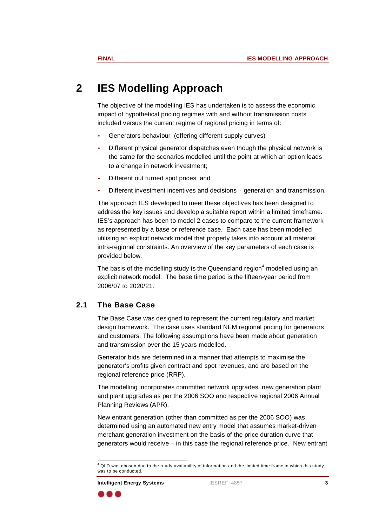# **2 IES Modelling Approach**

The objective of the modelling IES has undertaken is to assess the economic impact of hypothetical pricing regimes with and without transmission costs included versus the current regime of regional pricing in terms of:

- •Generators behaviour (offering different supply curves)
- • Different physical generator dispatches even though the physical network is the same for the scenarios modelled until the point at which an option leads to <sup>a</sup> change in network investment;
- •Different out turned spot prices; and
- •Different investment incentives and decisions – generation and transmission.

The approach IES developed to meet these objectives has been designed to address the key issues and develop <sup>a</sup> suitable report within <sup>a</sup> limited timeframe. IES's approach has been to model 2 cases to compare to the current framework as represented by <sup>a</sup> base or reference case. Each case has been modelled utilising an explicit network model that properly takes into account all material intra-regional constraints. An overview of the key parameters of each case is provided below.

The basis of the modelling study is the Queensland region<sup>4</sup> modelled using an explicit network model. The base time period is the fifteen-year period from 2006/07 to 2020/21.

## **2.1 The Base Case**

The Base Case was designed to represent the current regulatory and market design framework. The case uses standard NEM regional pricing for generators and customers. The following assumptions have been made about generation and transmission over the 15 years modelled.

Generator bids are determined in <sup>a</sup> manner that attempts to maximise the generator's profits given contract and spot revenues, and are based on the regional reference price (RRP).

The modelling incorporates committed network upgrades, new generation plant and plant upgrades as per the 2006 SOO and respective regional 2006 Annual Planning Reviews (APR).

> New entrant generation (other than committed as per the 2006 SOO) was determined using an automated new entry model that assumes market-driven merchant generation investment on the basis of the price duration curve that generators would receive – in this case the regional reference price. New entrant



 $4$  QLD was chosen due to the ready availability of information and the limited time frame in which this study was to be conducted was to be conducted.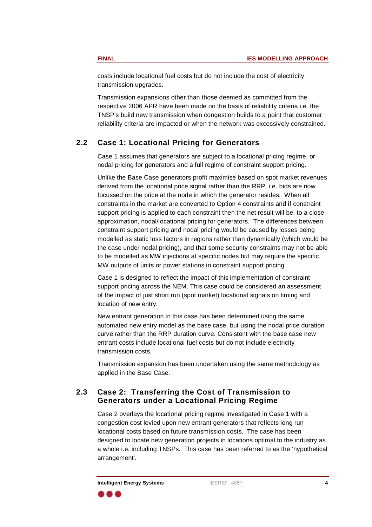costs include locational fuel costs but do not include the cost of electricity transmission upgrades.

> Transmission expansions other than those deemed as committed from the respective 2006 APR have been made on the basis of reliability criteria i.e. the TNSP's build new transmission when congestion builds to <sup>a</sup> point that customer reliability criteria are impacted or when the network was excessively constrained.

## **2.2 Case 1: Locational Pricing for Generators**

Case 1 assumes that generators are subject to <sup>a</sup> locational pricing regime, or nodal pricing for generators and <sup>a</sup> full regime of constraint support pricing.

Unlike the Base Case generators profit maximise based on spot market revenues derived from the locational price signal rather than the RRP, i.e. bids are now focussed on the price at the node in which the generator resides. When all constraints in the market are converted to Option 4 constraints and if constraint support pricing is applied to each constraint then the net result will be, to <sup>a</sup> close approximation, nodal/locational pricing for generators. The differences between constraint support pricing and nodal pricing would be caused by losses being modelled as static loss factors in regions rather than dynamically (which would be the case under nodal pricing), and that some security constraints may not be able to be modelled as MW injections at specific nodes but may require the specific MW outputs of units or power stations in constraint support pricing

Case 1 is designed to reflect the impact of this implementation of constraint support pricing across the NEM. This case could be considered an assessment of the impact of just short run (spot market) locational signals on timing and location of new entry.

> New entrant generation in this case has been determined using the same automated new entry model as the base case, but using the nodal price duration curve rather than the RRP duration curve. Consistent with the base case new entrant costs include locational fuel costs but do not include electricity transmission costs.

Transmission expansion has been undertaken using the same methodology as applied in the Base Case.

## **2.3 Case 2: Transferring the Cost of Transmission to Generators under <sup>a</sup> Locational Pricing Regime**

Case 2 overlays the locational pricing regime investigated in Case 1 with <sup>a</sup> congestion cost levied upon new entrant generators that reflects long run locational costs based on future transmission costs. The case has been designed to locate new generation projects in locations optimal to the industry as <sup>a</sup> whole i.e. including TNSPs. This case has been referred to as the 'hypothetical arrangement'.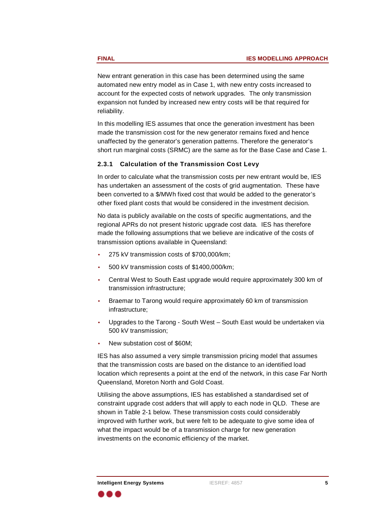New entrant generation in this case has been determined using the same automated new entry model as in Case 1, with new entry costs increased to account for the expected costs of network upgrades. The only transmission expansion not funded by increased new entry costs will be that required for reliability. The contract of the contract of the contract of the contract of the contract of the contract of t

> In this modelling IES assumes that once the generation investment has been made the transmission cost for the new generator remains fixed and hence unaffected by the generator's generation patterns. Therefore the generator's short run marginal costs (SRMC) are the same as for the Base Case and Case 1.

#### **2.3.1 Calculation of the Transmission Cost Levy**

In order to calculate what the transmission costs per new entrant would be, IES has undertaken an assessment of the costs of grid augmentation. These have been converted to <sup>a</sup> \$/MWh fixed cost that would be added to the generator's other fixed plant costs that would be considered in the investment decision.

No data is publicly available on the costs of specific augmentations, and the regional APRs do not present historic upgrade cost data. IES has therefore made the following assumptions that we believe are indicative of the costs of transmission options available in Queensland:

- •275 kV transmission costs of \$700,000/km;
- •500 kV transmission costs of \$1400,000/km;
- • Central West to South East upgrade would require approximately 300 km of transmission infrastructure;
	- • Braemar to Tarong would require approximately 60 km of transmission infrastructure;
- • Upgrades to the Tarong - South West – South East would be undertaken via 500 kV transmission;
- •New substation cost of \$60M;

IES has also assumed <sup>a</sup> very simple transmission pricing model that assumes that the transmission costs are based on the distance to an identified load location which represents <sup>a</sup> point at the end of the network, in this case Far North Queensland, Moreton North and Gold Coast.

Utilising the above assumptions, IES has established <sup>a</sup> standardised set of constraint upgrade cost adders that will apply to each node in QLD. These are shown in Table 2-1 below. These transmission costs could considerably improved with further work, but were felt to be adequate to give some idea of what the impact would be of <sup>a</sup> transmission charge for new generation investments on the economic efficiency of the market.



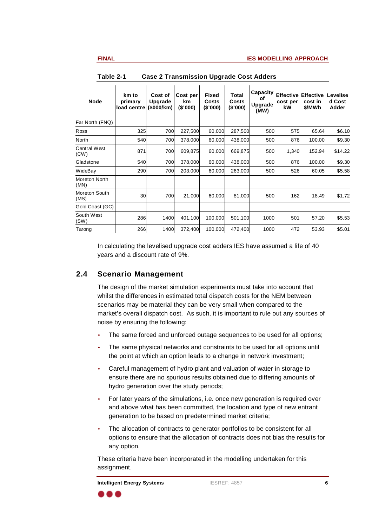| rapie z-1 Case z Transmission opgraae Cost Adders                                                                                                                                                                                                           |                                                                   |                         |
|-------------------------------------------------------------------------------------------------------------------------------------------------------------------------------------------------------------------------------------------------------------|-------------------------------------------------------------------|-------------------------|
| km to Cost of Cost per Fixed Total Capacity Effective Effective Levelise<br>  Integrate   Upgrade   Km Costs Costs of Cost per cost in d Cost<br>  Integrade Cost per cost in d Cost load centre (\$000/km) (\$'000) (\$'000) (\$'000) (<br>Upgrade<br>(MW) | <b>Node</b>                                                       |                         |
|                                                                                                                                                                                                                                                             | the control of the control of the<br>Far North (FNQ)              |                         |
| 700 227,500<br>60,000 287,500                                                                                                                                                                                                                               | and the control of the con-                                       | \$6.10                  |
| 700 378,000<br>438,000<br>60.000                                                                                                                                                                                                                            |                                                                   | 100.00<br>\$9.30        |
| 700 609,875<br>60,000 669,875                                                                                                                                                                                                                               | and the control of the con-<br>Central West<br>(CW)<br>$\sqrt{2}$ | 152.94 \$14.22<br>1,340 |
| 700 378,000<br>438,000<br>60.000                                                                                                                                                                                                                            | Gladstone                                                         | 100.00<br>\$9.30        |
| 700 203,000<br>263,000<br>60.000<br>290                                                                                                                                                                                                                     | WideBay<br>and the control of the con-                            | \$5.58<br>60.05<br>526  |
|                                                                                                                                                                                                                                                             | Moreton North                                                     |                         |
| 21,000<br>60.000<br>81.000                                                                                                                                                                                                                                  | Moreton South<br>$\sqrt{2}$                                       | \$1.72<br>18.49         |
|                                                                                                                                                                                                                                                             | Gold Coast (GC)                                                   |                         |
| 1400 401,100 100,000 501,100<br>286<br>1000                                                                                                                                                                                                                 | South West<br>$\ddot{\phantom{a}}$                                | \$5.53<br>57.20         |
| 1400 372,400<br>100,000 472,400<br>1000<br>266                                                                                                                                                                                                              | Tarong                                                            | \$5.01<br>53.93         |
|                                                                                                                                                                                                                                                             |                                                                   |                         |

**Table 2-1 Case 2 Transmission Upgrade Cost Adders**

In calculating the levelised upgrade cost adders IES have assumed <sup>a</sup> life of 40 years and <sup>a</sup> discount rate of 9%.

## **2.4 Scenario Management**

The design of the market simulation experiments must take into account that whilst the differences in estimated total dispatch costs for the NEM between scenarios may be material they can be very small when compared to the market's overall dispatch cost. As such, it is important to rule out any sources of noise by ensuring the following:

- •The same forced and unforced outage sequences to be used for all options;
- • The same physical networks and constraints to be used for all options until the point at which an option leads to <sup>a</sup> change in network investment;
- • Careful management of hydro plant and valuation of water in storage to ensure there are no spurious results obtained due to differing amounts of hydro generation over the study periods;
- • For later years of the simulations, i.e. once new generation is required over and above what has been committed, the location and type of new entrant generation to be based on predetermined market criteria;
- • The allocation of contracts to generator portfolios to be consistent for all options to ensure that the allocation of contracts does not bias the results for any option.

These criteria have been incorporated in the modelling undertaken for this assignment.

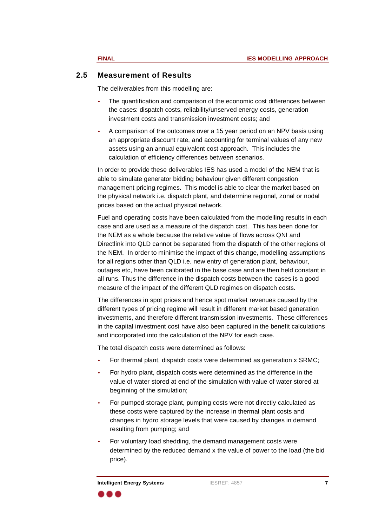## **2.5 Measurement of Results**

The deliverables from this modelling are:

- • The quantification and comparison of the economic cost differences between the cases: dispatch costs, reliability/unserved energy costs, generation investment costs and transmission investment costs; and
- • A comparison of the outcomes over <sup>a</sup> 15 year period on an NPV basis using an appropriate discount rate, and accounting for terminal values of any new assets using an annual equivalent cost approach. This includes the calculation of efficiency differences between scenarios.

In order to provide these deliverables IES has used <sup>a</sup> model of the NEM that is able to simulate generator bidding behaviour given different congestion management pricing regimes. This model is able to clear the market based on the physical network i.e. dispatch plant, and determine regional, zonal or nodal prices based on the actual physical network.

Fuel and operating costs have been calculated from the modelling results in each case and are used as <sup>a</sup> measure of the dispatch cost. This has been done for the NEM as <sup>a</sup> whole because the relative value of flows across QNI and Directlink into QLD cannot be separated from the dispatch of the other regions of the NEM. In order to minimise the impact of this change, modelling assumptions for all regions other than QLD i.e. new entry of generation plant, behaviour, outages etc, have been calibrated in the base case and are then held constant in all runs. Thus the difference in the dispatch costs between the cases is <sup>a</sup> good measure of the impact of the different QLD regimes on dispatch costs.

The differences in spot prices and hence spot market revenues caused by the different types of pricing regime will result in different market based generation investments, and therefore different transmission investments. These differences in the capital investment cost have also been captured in the benefit calculations and incorporated into the calculation of the NPV for each case.

The total dispatch costs were determined as follows:

- •For thermal plant, dispatch costs were determined as generation <sup>x</sup> SRMC;
- • For hydro plant, dispatch costs were determined as the difference in the value of water stored at end of the simulation with value of water stored at beginning of the simulation;
- • For pumped storage plant, pumping costs were not directly calculated as these costs were captured by the increase in thermal plant costs and changes in hydro storage levels that were caused by changes in demand resulting from pumping; and
	- • For voluntary load shedding, the demand management costs were determined by the reduced demand <sup>x</sup> the value of power to the load (the bid price).

. a 4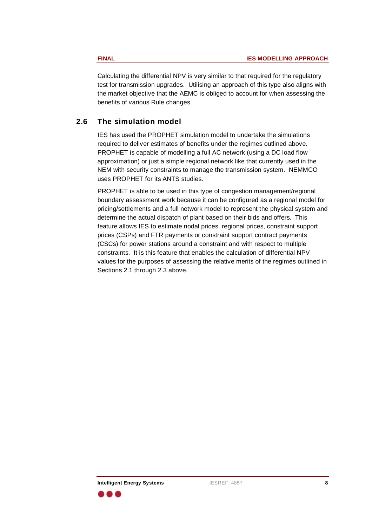Calculating the differential NPV is very similar to that required for the regulatory test for transmission upgrades. Utilising an approach of this type also aligns with the market objective that the AEMC is obliged to account for when assessing the benefits of various Rule changes.

## **2.6 The simulation model**

IES has used the PROPHET simulation model to undertake the simulations required to deliver estimates of benefits under the regimes outlined above. PROPHET is capable of modelling <sup>a</sup> full AC network (using <sup>a</sup> DC load flow approximation) or just <sup>a</sup> simple regional network like that currently used in the NEM with security constraints to manage the transmission system. NEMMCO uses PROPHET for its ANTS studies.

PROPHET is able to be used in this type of congestion management/regional boundary assessment work because it can be configured as <sup>a</sup> regional model for pricing/settlements and <sup>a</sup> full network model to represent the physical system and determine the actual dispatch of plant based on their bids and offers. This feature allows IES to estimate nodal prices, regional prices, constraint support prices (CSPs) and FTR payments or constraint support contract payments (CSCs) for power stations around <sup>a</sup> constraint and with respect to multiple constraints. It is this feature that enables the calculation of differential NPV values for the purposes of assessing the relative merits of the regimes outlined in Sections 2.1 through 2.3 above.

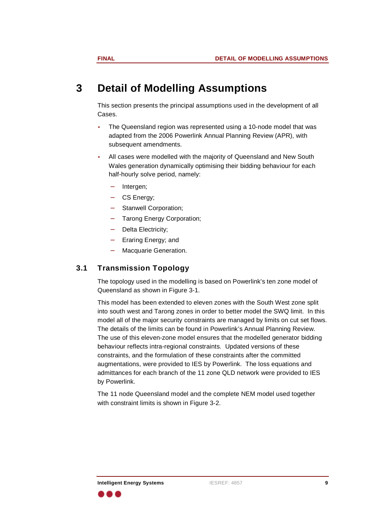# **3 Detail of Modelling Assumptions**

This section presents the principal assumptions used in the development of all <u>Cases. In the cases of the cases of the cases of the cases of the cases of the cases of the cases of the cases of the cases of the cases of the cases of the case of the case of the case of the case of the case of the case</u>

- • The Queensland region was represented using <sup>a</sup> 10-node model that was adapted from the 2006 Powerlink Annual Planning Review (APR), with subsequent amendments.
- • All cases were modelled with the majority of Queensland and New South Wales generation dynamically optimising their bidding behaviour for each half-hourly solve period, namely:
- −Intergen;
- ergy; and the contract of the CS Energy;
	- −Stanwell Corporation;
	- Tarong Energy Corporation;
	- − Delta Electricity;
		- − Eraring Energy; and
			- −**Macquarie Generation.** All **Macquarie Generation**.

## **3.1 Transmission Topology**

The topology used in the modelling is based on Powerlink's ten zone model of Queensland as shown in Figure 3-1.

This model has been extended to eleven zones with the South West zone split into south west and Tarong zones in order to better model the SWQ limit. In this model all of the major security constraints are managed by limits on cut set flows. The details of the limits can be found in Powerlink's Annual Planning Review. The use of this eleven-zone model ensures that the modelled generator bidding behaviour reflects intra-regional constraints. Updated versions of these constraints, and the formulation of these constraints after the committed augmentations, were provided to IES by Powerlink. The loss equations and admittances for each branch of the 11 zone QLD network were provided to IES by Powerlink.

> The 11 node Queensland model and the complete NEM model used together with constraint limits is shown in Figure 3-2.

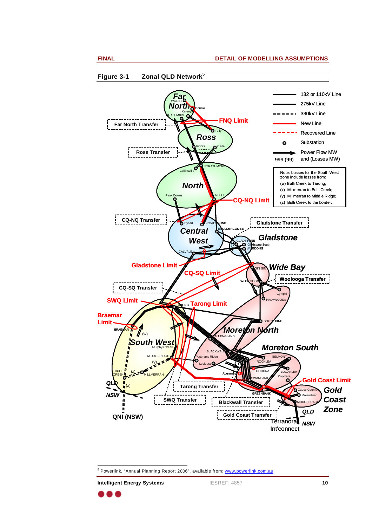

**Intelligent Energy Systems** IESREF: 4857 **10**

<sup>5</sup> Powerlink, "Annual Planning Report 2006", available from: www.powerlink.com.au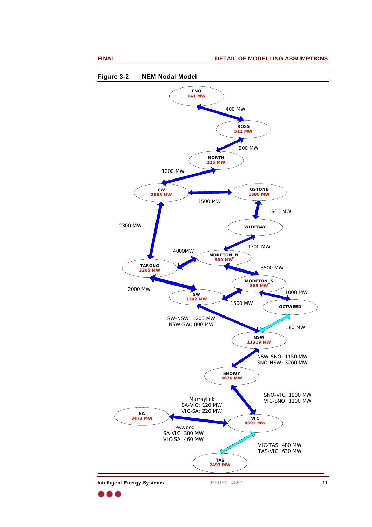



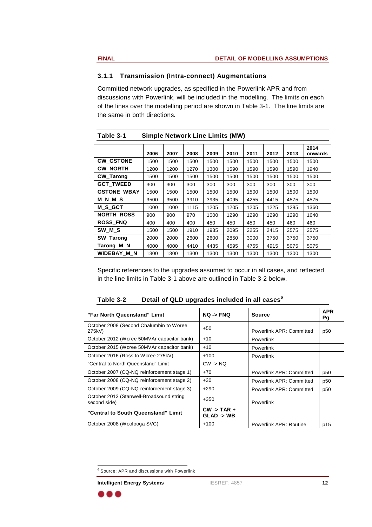### **3.1.1 Transmission (Intra-connect) Augmentations**

Committed network upgrades, as specified inthe Powerlink APR and from discussions with Powerlink, will be included in the modelling. The limits on each of the lines over the modelling period are shown in Table 3-1. The line limits are the same in both directions.

| $1$ and $2^{-1}$         | $S$ of $S$ is the contract $S$ of $S$ of $S$                               |               |
|--------------------------|----------------------------------------------------------------------------|---------------|
|                          | 2006   2007   2008   2009   2010   2011   2012   2013   onwards            | 12014         |
| <b>CW_GSTONE</b>         | 1500   1500   1500   1500   1500   1500   1500   1500                      |               |
| <b>CW_NORTH</b>          | 1200   1200   1270   1300   1590   1590   1590   1590   1940               |               |
| <b>CW_Tarong</b>         | 1500   1500   1500   1500   1500   1500  <br>1500 1500                     |               |
| GCT_TWEED<br>300         | 300 300 300 300 300 300<br>300                                             | $ 300\rangle$ |
| GSTONE_WBAY              | 1500 1500 1500 1500 1500 1500 1500 1<br>1500 1500                          |               |
| M_N_M_S                  | 3500   3500   3910   3935   4095   4255   4415   4575   4575               |               |
| M_S_GCT                  | 1000   1000   1115   1205   1205   1205   1225   1285   1360               |               |
| <b>NORTH_ROSS</b><br>900 | 900   970   1000   1290   1290   1290<br>1290 1640                         |               |
| <b>ROSS_FNQ</b><br>400   | 460 460<br>400 400 450 450 450 450                                         |               |
| SW_M_S                   | 1500   1500   1910   1935   2095   2255   2415   2575   2575               |               |
| SW_Tarong                | 2000   2000   2600   2600   2850   3000   3750   3750   3750               |               |
| Tarong_M_N               | 4000 4000 4410 4435 4595 4755 4915 5075 5075                               |               |
|                          | WIDEBAY_M_N   1300   1300   1300   1300   1300   1300   1300   1300   1300 |               |

**Table 3-1 Simple Network Line Limits (MW)**

Specific references to the upgrades assumed to occur in all cases, and reflected in the line limits in Table 3-1 above are outlined in Table 3-2 below.

#### **Table 3-2 Detail of QLD upgrades included in all cases 6**

| <b>APR</b><br>Source           | NQ -> FNQ                                    | "Far North Queensland" Limit                             |
|--------------------------------|----------------------------------------------|----------------------------------------------------------|
| Powerlink APR: Committed   p50 | $+50$                                        | October 2008 (Second Chalumbin to Woree<br>275kV)        |
| Powerlink                      |                                              | October 2012 (Woree 50MVAr capacitor bank)   +10         |
| Powerlink                      |                                              | October 2015 (Woree 50MVAr capacitor bank)   +10         |
| Powerlink                      | $+100$                                       | October 2016 (Ross to Woree 275kV)                       |
|                                | $CW \rightarrow NQ$                          | "Central to North Queensland" Limit                      |
| Powerlink APR: Committed       | $+70$                                        | October 2007 (CQ-NQ reinforcement stage 1)               |
| Powerlink APR: Committed       |                                              | October 2008 (CQ-NQ reinforcement stage 2)   +30         |
| Powerlink APR: Committed       |                                              | October 2009 (CQ-NQ reinforcement stage 3)   +290        |
| Powerlink                      | $+350$                                       | October 2013 (Stanwell-Broadsound string<br>second side) |
|                                | $\vert$ CW -> TAR +<br>$GLAD \rightarrow WB$ | "Central to South Queensland" Limit                      |
| Powerlink APR: Routine<br>p15  | $+100$                                       | October 2008 (Woolooga SVC)                              |
|                                |                                              |                                                          |

 $^6$  Source: APR and discussions with Powerlink

**Intelligent Energy Systems** IESREF: 4857 **12**

. . .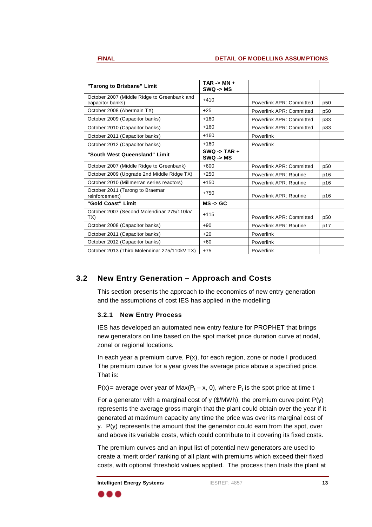|           | $TAR - > MN +$<br>$SWQ \rightarrow MS$                |                                |       |
|-----------|-------------------------------------------------------|--------------------------------|-------|
|           | October 2007 (Middle Ridge to Greenbank and   +410    | Powerlink APR: Committed p50   |       |
|           | $+25$                                                 | Powerlink APR: Committed       |       |
|           | $+160$                                                | Powerlink APR: Committed   p83 |       |
|           | $+160$                                                | Powerlink APR: Committed   p83 |       |
| Powerlink | $+160$                                                |                                |       |
| Powerlink | $+160$                                                |                                |       |
|           | $SWQ \rightarrow TAR +$<br>$SWQ \rightarrow MS$       |                                |       |
|           | $+600$                                                | Powerlink APR: Committed       | l p50 |
|           | October 2009 (Upgrade 2nd Middle Ridge TX)   +250     | Powerlink APR: Routine         |       |
|           | $+150$                                                | Powerlink APR: Routine         |       |
|           | $+750$                                                | Powerlink APR: Routine         |       |
|           | $MS \rightarrow GC$                                   |                                |       |
|           | $+115$                                                | Powerlink APR: Committed   p50 |       |
|           | $+90$                                                 | Powerlink APR: Routine         |       |
| Powerlink | $+20$                                                 |                                |       |
| Powerlink | $+60$                                                 |                                |       |
| Powerlink | October 2013 (Third Molendinar 275/110kV TX) $\pm$ 75 |                                |       |

October 2013 (Third Molendinar 275/110kV TX) | +75 | Powerlink

# **3.2 New Entry Generation – Approach and Costs**

This section presents the approach to the economics of new entry generation and the assumptions of cost IES has applied in the modelling

## **3.2.1 New Entry Process**

IES has developed an automatednew entry feature for PROPHET that brings new generators on line based on the spot market price duration curve at nodal, zonal or regional locations.

In each year <sup>a</sup> premium curve, P(x), for each region, zone or node I produced. The premium curve for <sup>a</sup> year gives the average price above <sup>a</sup> specified price. That is:

 $P(x)$  = average over year of Max( $P_t$  – x, 0), where  $P_t$  is the spot price at time t

For a generator with a marginal cost of y ( $$/MWh$ ), the premium curve point  $P(y)$ represents the average gross margin that the plant could obtain over the year if it generated at maximum capacity any time the price was over its marginal cost of  $y.$  P(y) represents the amount that the generator could earn from the spot, over and above its variable costs, which could contribute to it covering its fixed costs.

The premium curves and an input list of potential new generators are used to create <sup>a</sup> 'merit order' ranking of all plant with premiums which exceed their fixed costs, with optional threshold values applied. The process then trials the plant at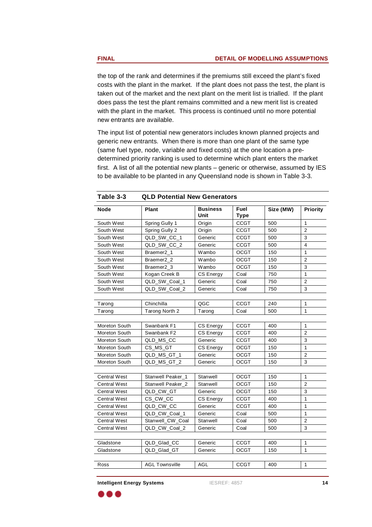the top of the rank and determines if the premiums still exceed the plant's fixed costs with the plant in the market. If the plant does not pass the test, the plant is taken out of the market and the next plant on the merit list is trialled. If the plant does pass the test the plant remains committed and <sup>a</sup> new merit list is created with the plant in the market. This process is continued until no more potential new entrants are available.

> The input list of potential new generators includes known planned projects and generic new entrants. When there is more than one plant of the same type (same fuel type, node, variable and fixed costs) at the one location a predetermined priority ranking is used to determine which plant enters the market first. A list of all the potential new plants – generic or otherwise, assumed by IES to be available to be planted in any Queensland node is shown in Table 3-3.

|                                           |                         | <b>QLD Potential New Generators</b> | Table 3-3                                   |
|-------------------------------------------|-------------------------|-------------------------------------|---------------------------------------------|
| <b>Fuel</b><br>Size (MW) Priority<br>Type | <b>Business</b><br>Unit | Plant                               | Node                                        |
| CCGT<br>500                               | Origin                  | Spring Gully 1                      | South West                                  |
| CCGT<br>500                               | Origin                  | Spring Gully 2                      | South West                                  |
| CCGT<br>500                               | Generic                 | QLD_SW_CC_1                         | South West                                  |
| CCGT<br>500                               | Generic                 | QLD_SW_CC_2                         | South West                                  |
| OCGT<br>150                               | Wambo                   | Braemer2_1                          | South West                                  |
| OCGT<br>150                               | Wambo                   | Braemer2_2                          | South West                                  |
| OCGT<br>150                               | Wambo                   | Braemer <sub>2</sub> 3              | South West                                  |
| Coal<br>750                               | CS Energy               | Kogan Creek B                       | South West                                  |
| Coal<br>750                               | Generic                 | QLD_SW_Coal_1                       | South West                                  |
| Coal<br>750                               | Generic                 | QLD_SW_Coal_2                       | South West                                  |
| CCGT<br>240                               | QGC                     | Chinchilla                          | <b>Contract Contract Contract</b><br>Tarong |
| Coal<br>500                               | Tarong                  | Tarong North 2                      | Tarong                                      |
|                                           |                         |                                     |                                             |
| CCGT<br>400                               | CS Energy               | Swanbank F1                         | Moreton South                               |
| CCGT<br>400                               | CS Energy               | Swanbank F2                         | Moreton South                               |
| CCGT<br>400                               | Generic                 | QLD_MS_CC                           | Moreton South                               |
| OCGT<br>150                               | CS Energy               | CS_MS_GT                            | Moreton South                               |
| OCGT<br>150                               | Generic                 | QLD_MS_GT_1                         | Moreton South                               |
| OCGT<br>150                               | Generic                 | QLD_MS_GT_2                         | Moreton South                               |
|                                           |                         |                                     |                                             |
| OCGT<br>150                               |                         | Stanwell Peaker_1   Stanwell        | Central West                                |
| OCGT<br>150                               | Stanwell                | Stanwell Peaker_2                   | Central West                                |
| OCGT<br>150                               | Generic                 | QLD CW GT                           | Central West                                |
| CCGT<br>400                               | CS Energy               | CS_CW_CC                            | Central West                                |
| CCGT<br>400                               | Generic                 | QLD_CW_CC                           | Central West                                |
| Coal<br>500                               | Generic                 | QLD_CW_Coal_                        | Central West                                |
| Coal<br>500                               | Stanwell                | Stanwell_CW_Coal                    | Central West                                |
| Coal<br>500                               | Generic                 | QLD_CW_Coal_2                       | Central West                                |
|                                           |                         |                                     |                                             |
| CCGT<br>400                               | Generic                 | QLD_Glad_CC                         | Gladstone                                   |
| OCGT<br>150                               | Generic                 | QLD_Glad_GT                         | Gladstone                                   |
| CCGT<br>400                               | AGL                     | AGL Townsville                      | $\overbrace{\qquad \qquad }^{}$<br>Ross     |
|                                           |                         |                                     | <b>Contract Contract Contract</b>           |

**Intelligent Energy Systems** IESREF: 4857 **14**

) & &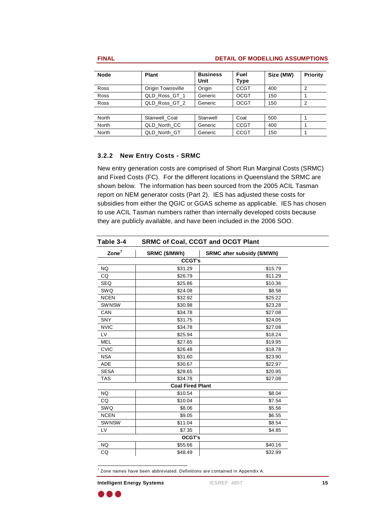#### **FINAL DETAIL OF MODELLING ASSUMPTIONS**

| Size (MW) Priority<br><b>Business</b><br><b>Plant</b><br>Node<br>  Fuel<br>Unit<br>Type<br>CCGT<br>Origin<br><b>Origin Townsville</b><br>Ross<br>∽∪<br>OCGT<br>QLD_Ross_GT_1<br>Generic<br>150<br>. vv<br><b>OCGT</b><br>QLD_Ross_GT_2 Generic<br>150<br>$F^{\wedge}$<br>Coal<br>Stanwel<br>Stanwel<br>North<br>Coa<br>CCGT<br>QLD_North_CC<br>Generic<br>400<br>North<br>CCGT<br>QLD_North_GT<br>Generic<br>150<br>North<br>1 J V |  |  |
|------------------------------------------------------------------------------------------------------------------------------------------------------------------------------------------------------------------------------------------------------------------------------------------------------------------------------------------------------------------------------------------------------------------------------------|--|--|
|                                                                                                                                                                                                                                                                                                                                                                                                                                    |  |  |
|                                                                                                                                                                                                                                                                                                                                                                                                                                    |  |  |
|                                                                                                                                                                                                                                                                                                                                                                                                                                    |  |  |
|                                                                                                                                                                                                                                                                                                                                                                                                                                    |  |  |
|                                                                                                                                                                                                                                                                                                                                                                                                                                    |  |  |
|                                                                                                                                                                                                                                                                                                                                                                                                                                    |  |  |
|                                                                                                                                                                                                                                                                                                                                                                                                                                    |  |  |
|                                                                                                                                                                                                                                                                                                                                                                                                                                    |  |  |
|                                                                                                                                                                                                                                                                                                                                                                                                                                    |  |  |

### **3.2.2 New Entry Costs - SRMC**

New entry generation costs are comprised of Short Run Marginal Costs (SRMC) and Fixed Costs (FC). For the different locations in Queensland the SRMC are shown below. The information has been sourced from the 2005 ACIL Tasman report on NEM generator costs (Part 2). IES has adjusted these costs for subsidies from either the QGIC or GGAS scheme as applicable. IES has chosen to use ACIL Tasman numbers rather than internally developed costs because they are publicly available, and have been included in the 2006 SOO.

| Table 3-4                                                                                                                                                                                                                                                                                                                                                                                                                                                                                         |                         | <b>SRMC of Coal, CCGT and OCGT Plant</b>     |
|---------------------------------------------------------------------------------------------------------------------------------------------------------------------------------------------------------------------------------------------------------------------------------------------------------------------------------------------------------------------------------------------------------------------------------------------------------------------------------------------------|-------------------------|----------------------------------------------|
| $\mathsf{Zone}^7$                                                                                                                                                                                                                                                                                                                                                                                                                                                                                 | SRMC (\$/MWh)           | SRMC after subsidy (\$/MWh)                  |
| the contract of the contract of                                                                                                                                                                                                                                                                                                                                                                                                                                                                   | CCGT's                  |                                              |
| NQ                                                                                                                                                                                                                                                                                                                                                                                                                                                                                                | \$31.29                 | \$15.79                                      |
| $\overline{c}$                                                                                                                                                                                                                                                                                                                                                                                                                                                                                    | \$26.79                 | \$11.29                                      |
| SEQ                                                                                                                                                                                                                                                                                                                                                                                                                                                                                               | \$25.86                 | \$10.36                                      |
| SWQ                                                                                                                                                                                                                                                                                                                                                                                                                                                                                               | \$24.08                 | \$8.58                                       |
| <b>NCEN</b>                                                                                                                                                                                                                                                                                                                                                                                                                                                                                       | \$32.92                 | \$25.22                                      |
| SWNSW                                                                                                                                                                                                                                                                                                                                                                                                                                                                                             | \$30.98                 | \$23.28                                      |
| CAN                                                                                                                                                                                                                                                                                                                                                                                                                                                                                               | \$34.78                 | \$27.08                                      |
| SNY                                                                                                                                                                                                                                                                                                                                                                                                                                                                                               | \$31.75                 | \$24.05                                      |
| $\begin{tabular}{ll} \multicolumn{3}{l}{} & \multicolumn{3}{l}{} & \multicolumn{3}{l}{} & \multicolumn{3}{l}{} & \multicolumn{3}{l}{} & \multicolumn{3}{l}{} & \multicolumn{3}{l}{} & \multicolumn{3}{l}{} & \multicolumn{3}{l}{} & \multicolumn{3}{l}{} & \multicolumn{3}{l}{} & \multicolumn{3}{l}{} & \multicolumn{3}{l}{} & \multicolumn{3}{l}{} & \multicolumn{3}{l}{} & \multicolumn{3}{l}{} & \multicolumn{3}{l}{} & \multicolumn{3}{l}{} & \multicolumn{3}{l}{} & \multic$<br><b>NVIC</b> | \$34.78                 | \$27.08                                      |
| <b>LV</b><br><u> The Communication of the Communication of</u>                                                                                                                                                                                                                                                                                                                                                                                                                                    | \$25.94                 | \$18.24                                      |
| MEL                                                                                                                                                                                                                                                                                                                                                                                                                                                                                               | \$27.65                 | \$19.95                                      |
| CVIC                                                                                                                                                                                                                                                                                                                                                                                                                                                                                              | \$26.48                 | \$18.78                                      |
| NSA<br>$\overline{\phantom{a}}$                                                                                                                                                                                                                                                                                                                                                                                                                                                                   | \$31.60                 | \$23.90<br>the control of the control of the |
| ADE                                                                                                                                                                                                                                                                                                                                                                                                                                                                                               | \$30.67                 | \$22.97<br>and the control of the            |
| SESA                                                                                                                                                                                                                                                                                                                                                                                                                                                                                              | \$28.65                 | \$20.95                                      |
| TAS                                                                                                                                                                                                                                                                                                                                                                                                                                                                                               | \$34.78                 | \$27.08                                      |
| $\frac{1}{2} \left( \frac{1}{2} \right) \left( \frac{1}{2} \right) \left( \frac{1}{2} \right) \left( \frac{1}{2} \right) \left( \frac{1}{2} \right) \left( \frac{1}{2} \right) \left( \frac{1}{2} \right) \left( \frac{1}{2} \right) \left( \frac{1}{2} \right) \left( \frac{1}{2} \right) \left( \frac{1}{2} \right) \left( \frac{1}{2} \right) \left( \frac{1}{2} \right) \left( \frac{1}{2} \right) \left( \frac{1}{2} \right) \left( \frac{1}{2} \right) \left( \frac$                        | <b>Coal Fired Plant</b> |                                              |
| NQ<br>$\frac{1}{2} \left( \frac{1}{2} \right) \left( \frac{1}{2} \right) \left( \frac{1}{2} \right) \left( \frac{1}{2} \right) \left( \frac{1}{2} \right) \left( \frac{1}{2} \right) \left( \frac{1}{2} \right) \left( \frac{1}{2} \right) \left( \frac{1}{2} \right) \left( \frac{1}{2} \right) \left( \frac{1}{2} \right) \left( \frac{1}{2} \right) \left( \frac{1}{2} \right) \left( \frac{1}{2} \right) \left( \frac{1}{2} \right) \left( \frac{1}{2} \right) \left( \frac$                  | \$10.54                 | \$8.04                                       |
| CQ                                                                                                                                                                                                                                                                                                                                                                                                                                                                                                | \$10.04                 | \$7.54                                       |
| SWQ                                                                                                                                                                                                                                                                                                                                                                                                                                                                                               | \$8.06                  | \$5.56                                       |
| <b>NCEN</b>                                                                                                                                                                                                                                                                                                                                                                                                                                                                                       | \$9.05                  | \$6.55                                       |
| SWNSW                                                                                                                                                                                                                                                                                                                                                                                                                                                                                             | \$11.04                 | \$8.54                                       |
| LV.                                                                                                                                                                                                                                                                                                                                                                                                                                                                                               | \$7.35                  | \$4.85                                       |
|                                                                                                                                                                                                                                                                                                                                                                                                                                                                                                   | <b>OCGT's</b>           |                                              |
| <b>NQ</b>                                                                                                                                                                                                                                                                                                                                                                                                                                                                                         | \$55.66                 | \$40.16                                      |
| $rac{1}{100}$                                                                                                                                                                                                                                                                                                                                                                                                                                                                                     | \$48.49                 | \$32.99                                      |

 $7$  Zone names have been abbreviated. Definitions are contained in Appendix A.

**Intelligent Energy Systems** IESREF: 4857 **15**

. . .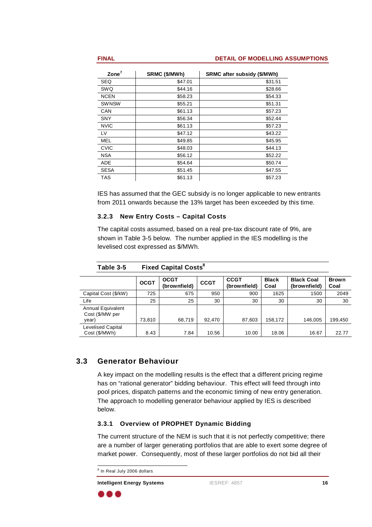#### **FINAL DETAIL OF MODELLING ASSUMPTIONS**

| SRMC (\$/MWh)   SRMC after subsidy (\$/MWh) |         | $\mathsf{Zone}^7$ |
|---------------------------------------------|---------|-------------------|
| \$31.51                                     | \$47.01 | SEQ               |
| \$28.66                                     | \$44.16 | SWQ               |
| \$54.33                                     | \$58.23 |                   |
| \$51.31                                     | \$55.21 | SWNSW             |
| \$57.23                                     | \$61.13 | CAN               |
| \$52.44                                     | \$56.34 | <b>CNIV</b>       |
| \$57.23                                     | \$61.13 | <b>NVIC</b>       |
| \$43.22                                     | \$47.12 |                   |
| \$45.95                                     | \$49.85 | MEL               |
| \$44.13                                     | \$48.03 | $\cdots$          |
| \$52.22                                     | \$56.12 | NSA.              |
| \$50.74                                     | \$54.64 | ANF               |
| \$47.55                                     | \$51.45 |                   |
| \$57.23                                     | \$61.13 | TAS               |

IES has assumed that the GEC subsidy is no longer applicable to new entrants from 2011 onwards because the 13% target has been exceeded by this time.

### **3.2.3 New Entry Costs – Capital Costs**

The capital costs assumed, based on <sup>a</sup> real pre-tax discount rate of 9%, are shown in Table 3-5 below. The number applied in the IES modelling is the levelised cost expressed as \$/MWh.

## **3.3 Generator Behaviour**

Annual Equivalent

year) | 73,810 | 68,719 | 92,470 | 87,603 | 158,172 | 146,005 | 199,450

Cost (\$/MWh) | 8.43 | 7.84 | 10.56 | 10.00 | 18.06 | 16.67 | 22.77

Levelised Capital

Cost (\$/MW per

A key impact on the modelling results is the effect that <sup>a</sup> different pricing regime has on "rational generator" bidding behaviour. This effect will feed through into pool prices, dispatch patterns and the economic timing of new entry generation. The approach to modelling generator behaviour applied by IES is described below.

#### **3.3.1 Overview of PROPHET Dynamic Bidding**

The current structure of the NEM is such that it is not perfectly competitive; there are <sup>a</sup> number of larger generating portfolios that are able to exert some degree of market power. Consequently, most of these larger portfolios do not bid all their

```
 8
\degree In Real July 2006 dollars
```
**Intelligent Energy Systems** IESREF: 4857 **16**

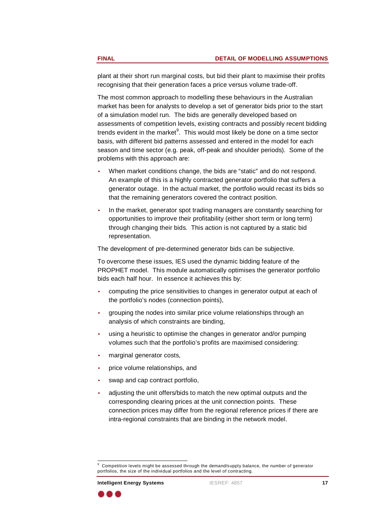plant at their short run marginal costs, but bid their plant to maximise their profits recognising that their generation faces <sup>a</sup> price versus volume trade-off.

The most common approach to modelling these behaviours in the Australian market has been for analysts to develop <sup>a</sup> set of generator bids prior to the start of <sup>a</sup> simulation model run. The bids are generally developed based on assessments of competition levels, existing contracts and possibly recent bidding trends evident in the market<sup>9</sup>. This would most likely be done on a time sector basis, with different bid patterns assessed and entered in the model for each season and time sector (e.g. peak, off-peak and shoulder periods). Some of the problems with this approach are:

- • When market conditions change, the bids are "static" and do not respond. An example of this is <sup>a</sup> highly contracted generator portfolio that suffers <sup>a</sup> generator outage. In the actual market, the portfolio would recast its bids so that the remaining generators covered the contract position.
- • In the market, generator spot trading managers are constantly searching for opportunities to improve their profitability (either short term or long term) through changing their bids. This action is not captured by <sup>a</sup> static bid representation.

The development of pre-determined generator bids can be subjective.

To overcome these issues, IES used the dynamic bidding feature of the PROPHET model. This module automatically optimises the generator portfolio bids each half hour. In essence it achieves this by:

- • computing the price sensitivities to changes in generator output at each of the portfolio's nodes (connection points),
- • grouping the nodes into similar price volume relationships through an analysis of which constraints are binding,
- • using <sup>a</sup> heuristic to optimise the changes in generator and/or pumping volumes such that the portfolio's profits are maximised considering:
- •marginal generator costs,
- •price volume relationships, and
- • swap and cap contract portfolio,
	- • adjusting the unit offers/bids to match the new optimal outputs and the corresponding clearing prices at the unit connection points. These connection prices may differ from the regional reference prices if there are intra-regional constraints that are binding in the network model.



<sup>9</sup> Competition levels might be assessed through the demand/supply balance, the number of generator portfolios, the size of the individual portfolios and the level of contracting.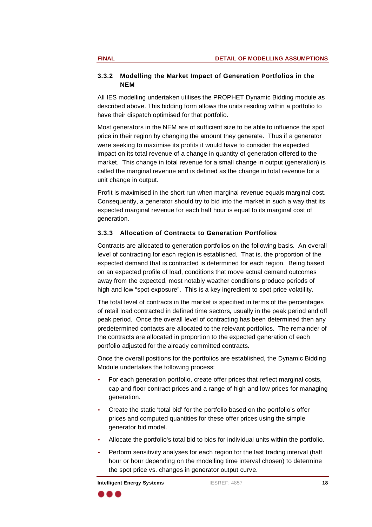### **3.3.2 Modelling the Market Impact of Generation Portfolios in the NEM**

All IES modelling undertaken utilises the PROPHET Dynamic Bidding module as described above. This bidding form allows the units residing within a portfolio to have their dispatch optimised for that portfolio.

Most generators in the NEM are of sufficient size to be able to influence the spot price in their region by changing the amount they generate. Thus if <sup>a</sup> generator were seeking to maximise its profits it would have to consider the expected impact on its total revenue of <sup>a</sup> change in quantity of generation offered to the market. This change in total revenue for <sup>a</sup> small change in output (generation) is called the marginal revenue and is defined as the change in total revenue for <sup>a</sup> unit change in output.

> Profit is maximised in the short run when marginal revenue equals marginal cost. Consequently, <sup>a</sup> generator should try to bid into the market in such <sup>a</sup> way that its expected marginal revenue for each half hour is equal to its marginal cost of generation.

## **3.3.3 Allocation of Contracts to Generation Portfolios**

Contracts are allocated to generation portfolios on the following basis. An overall level of contracting for each region is established. That is, the proportion of the expected demand that is contracted is determined for each region. Being based on an expected profile of load, conditions that move actual demand outcomes away from the expected, most notably weather conditions produce periods of high and low "spot exposure". This is <sup>a</sup> key ingredient to spot price volatility.

The total level of contracts in the market is specified in terms of the percentages of retail load contracted in defined time sectors, usually in the peak period and off peak period. Once the overall level of contracting has been determined then any predetermined contacts are allocated to the relevant portfolios. The remainder of the contracts are allocated in proportion to the expected generation of each portfolio adjusted for the already committed contracts.

Once the overall positions for the portfolios are established, the Dynamic Bidding Module undertakes the following process:

- • For each generation portfolio, create offer prices that reflect marginal costs, cap and floor contract prices and <sup>a</sup> range of high and low prices for managing generation.
- •Create the static 'total bid' for the portfolio based on the portfolio's offer prices and computed quantities for these offer prices using the simple generator bid model.
	- •Allocate the portfolio's total bid to bids for individual units within the portfolio.
	- • Perform sensitivity analyses for each region for the last trading interval (half hour or hour depending on the modelling time interval chosen) to determine the spot price vs. changes in generator output curve.

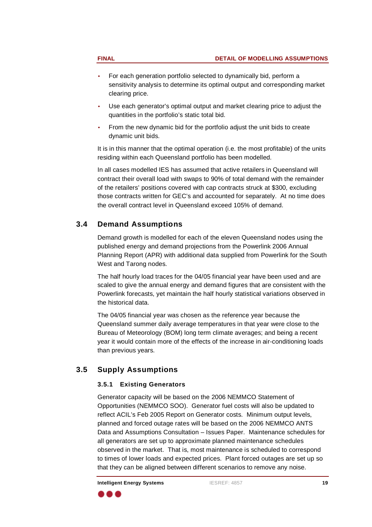- 
- • For each generation portfolio selected to dynamically bid, perform <sup>a</sup> sensitivity analysis to determine its optimal output and corresponding market clearing price.
	- • Use each generator's optimal output and market clearing price to adjust the quantities in the portfolio's static total bid.
	- • From the new dynamic bid for the portfolio adjust the unit bids to create dynamic unit bids.

It is in this manner that the optimal operation (i.e. the most profitable) of the units residing within each Queensland portfolio has been modelled.

In all cases modelled IES has assumed that active retailers in Queensland will contract their overall load with swaps to 90% of total demand with the remainder of the retailers' positions covered with cap contracts struck at \$300, excluding those contracts written for GEC's and accounted for separately. At no time does the overall contract level in Queensland exceed 105% of demand.

# **3.4 Demand Assumptions**

Demand growth is modelled for each of the eleven Queensland nodes using the published energy and demand projections from the Powerlink 2006 Annual Planning Report (APR) with additional data supplied from Powerlink for the South West and Tarong nodes.

The half hourly load traces for the 04/05 financial year have been used and are scaled to give the annual energy and demand figures that are consistent with the Powerlink forecasts, yet maintain the half hourly statistical variations observed in the historical data.

The 04/05 financial year was chosen as the reference year because the Queensland summer daily average temperatures in that year were close to the Bureau of Meteorology (BOM) long term climate averages; and being <sup>a</sup> recent year it would contain more of the effects of the increase in air-conditioning loads than previous years.

# **3.5 Supply Assumptions**

## **3.5.1 Existing Generators**

Generator capacity will be based on the 2006 NEMMCO Statement of Opportunities (NEMMCO SOO). Generator fuel costs will also be updated to reflect ACIL's Feb 2005 Report on Generator costs. Minimum output levels, planned and forced outage rates will be based on the 2006 NEMMCO ANTS Data and Assumptions Consultation – Issues Paper. Maintenance schedules for all generators are set up to approximate planned maintenance schedules observed in the market. That is, most maintenance is scheduled to correspond to times of lower loads and expected prices. Plant forced outages are set up so that they can be aligned between different scenarios to remove any noise.

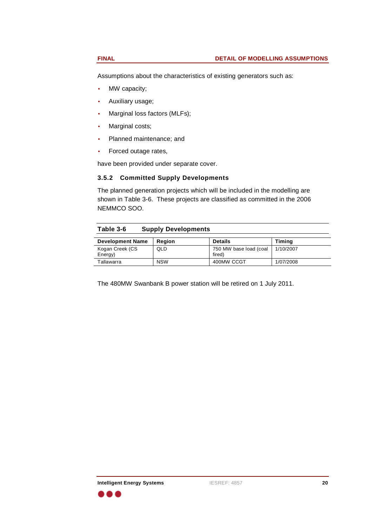Assumptions about the characteristics of existing generators such as:

- • MW capacity;
	- • Auxiliary usage;
		- •Marginal loss factors (MLFs);
		- •Marginal costs;
		- •Planned maintenance; and
		- •

Forced outage rates,have been provided under separate cover.

### **3.5.2 Committed Supply Developments**

The planned generation projects which will be included in the modelling are shown in Table 3-6. These projects are classified as committed in the 2006 NEMMCO SOO.

|                                                                                                                                                                   | Table 3-6 Supply Developments    |
|-------------------------------------------------------------------------------------------------------------------------------------------------------------------|----------------------------------|
| <b>Dotail</b><br><b>Timin</b>                                                                                                                                     | Development Name   Region        |
| 750 MW base load (coal 1/10/2007                                                                                                                                  | Kogan Creek (CS<br>$\sim$ $\sim$ |
|                                                                                                                                                                   |                                  |
| the contract of the contract of the contract of the contract of the contract of the contract of the contract of<br>$10011111$ CCCT<br>17017400 <b>0</b><br>,, ovv | I NICINI<br>Tollowor             |

The 480MW Swanbank B power station will be retired on 1 July 2011.

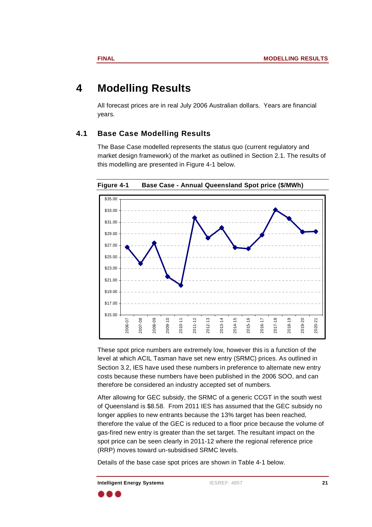# **4 Modelling Results**

All forecast prices are in real July 2006 Australian dollars. Years are financial years. The contract of the second series of the series of the series of the series of the series of the series

## **4.1 Base Case Modelling Results**

The Base Case modelled represents the status quo (current regulatory and market design framework) of the market as outlined in Section 2.1. The results of this modelling are presented in Figure 4-1 below.



**Figure 4-1 Base Case - Annual Queensland Spot price (\$/MWh)**

These spot price numbers are extremely low, however this is <sup>a</sup> function of the level at which ACIL Tasman have set new entry (SRMC) prices. As outlined in Section 3.2, IES have used these numbers in preference to alternate new entry costs because these numbers have been published in the 2006 SOO, and can therefore be considered an industry accepted set of numbers.

After allowing for GEC subsidy, the SRMC of <sup>a</sup> generic CCGT in the south west of Queensland is \$8.58. From 2011 IES has assumed that the GEC subsidy no longer applies to new entrants because the 13% target has been reached, therefore the value of the GEC is reduced to <sup>a</sup> floor price because the volume of gas-fired new entry is greater than the set target. The resultant impact on the spot price can be seen clearly in 2011-12 where the regional reference price (RRP) moves toward un-subsidised SRMC levels.

Details of the base case spot prices are shown in Table 4-1 below.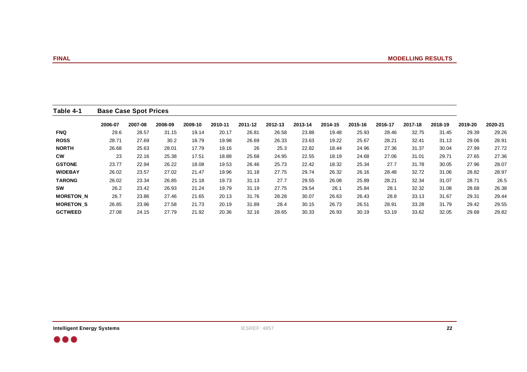|                  | <b>Base Case Spot Prices</b>                                                                                            |                |                                                                                                      |  |
|------------------|-------------------------------------------------------------------------------------------------------------------------|----------------|------------------------------------------------------------------------------------------------------|--|
|                  | 2006-07 2007-08 2008-09 2009-10 2010-11 2011-12 2012-13 2013-14 2014-15 2015-16 2016-17 2017-18 2018-19 2019-20 2020-21 |                |                                                                                                      |  |
| <b>FNQ</b>       | 29.6 28.57 31.15 19.14 20.17 26.81 26.58 23.88 19.48 25.93 28.46 32.75 31.45 29.39 29.26                                |                |                                                                                                      |  |
| <b>ROSS</b>      | 28.71 27.69 30.2 18.79 19.98 26.69 26.33 23.63 19.22 25.67 28.21 32.41 31.13 29.06 28.91                                |                |                                                                                                      |  |
| <b>NORTH</b>     | 26.68 25.63 28.01 17.79 19.16 26 25.3 22.82 18.44 24.96 27.36 31.37 30.04 27.79 27.72                                   |                |                                                                                                      |  |
| <b>CW</b>        |                                                                                                                         |                | 23  22.16  25.38  17.51  18.88  25.68  24.95  22.55  18.19  24.68  27.06  31.01  29.71  27.65  27.36 |  |
| <b>GSTONE</b>    | 23.77 22.94 26.22 18.08 19.53 26.46 25.73 22.42 18.32 25.34 27.7 31.78 30.05 27.96 28.07                                |                |                                                                                                      |  |
| <b>WIDEBAY</b>   | 26.02 23.57 27.02 21.47 19.96 31.18 27.75 29.74 26.32 26.16 28.48 32.72 31.06 28.82 28.97                               |                |                                                                                                      |  |
| <b>TARONG</b>    | 26.02 23.34 26.85 21.18 19.73 31.13 27.7 29.55 26.08 25.89 28.21 32.34 31.07 28.71 26.5                                 |                |                                                                                                      |  |
| SW               |                                                                                                                         |                | 26.2 23.42 26.93 21.24 19.79 31.19 27.75 29.54 26.1 25.84 28.1 32.32 31.08 28.68 26.38               |  |
| <b>MORETON_N</b> | 26.7 23.86 27.46 21.65 20.13 31.76 28.28 30.07 26.63 26.43 28.8 33.13 31.67 29.31 29.44                                 |                |                                                                                                      |  |
| <b>MORETON S</b> | 26.85 23.96 27.58 21.73 20.19 31.89 28.4 30.15 26.73 26.51 28.91 33.28 31.79 29.42 29.55                                |                |                                                                                                      |  |
| <b>GCTWEED</b>   | 27.08 24.15                                                                                                             | 30.19<br>30.33 | 32.05 29.68 29.82<br>53.19                                                                           |  |

 $\bullet\bullet\bullet$ 

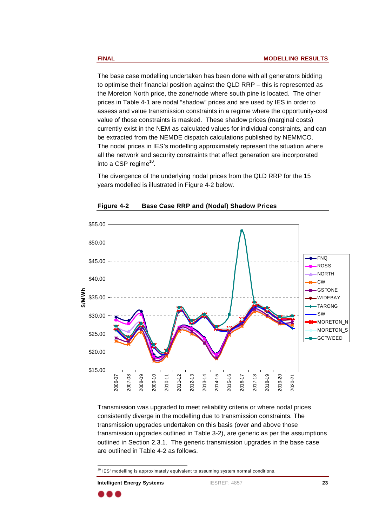The base case modelling undertaken has been done with all generators bidding to optimise their financial position against the QLD RRP – this is represented as the Moreton North price, the zone/node where south pine is located. The other prices in Table 4-1 are nodal "shadow" prices and are used by IES in order to assess and value transmission constraints in <sup>a</sup> regime where the opportunity-cost value of those constraints is masked. These shadow prices (marginal costs) currently exist in the NEM as calculated values for individual constraints, and can be extracted from the NEMDE dispatch calculations published by NEMMCO. The nodal prices in IES's modelling approximately represent the situation where all the network and security constraints that affect generation are incorporated into <sup>a</sup> CSP regime  $10<sub>10</sub> \times 10<sub>10</sub> \times 10<sub>10</sub> \times 10<sub>10</sub>$ into a CSP regime<sup>10</sup>.

> The divergence of the underlying nodal prices from the QLD RRP for the 15 years modelled is illustrated in Figure 4-2 below.



**Figure 4-2 Base Case RRP and (Nodal) Shadow Prices**

Transmission was upgraded to meet reliability criteria or where nodal prices consistently diverge in the modelling due to transmission constraints. The transmission upgrades undertaken on this basis (over and above those transmission upgrades outlined in Table 3-2), are generic as per the assumptions outlined in Section 2.3.1. The generic transmission upgrades in the base case are outlined in Table 4-2 as follows.



 $10$  $10$  IES' modelling is approximately equivalent to assuming system normal conditions.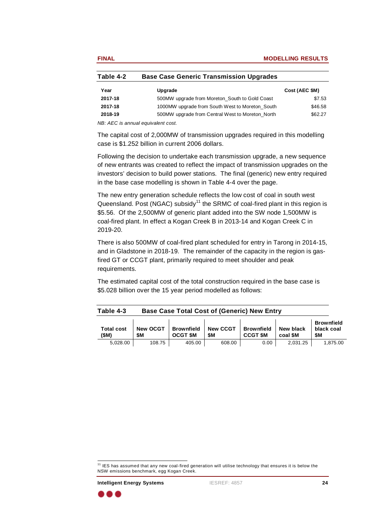| Table 4-2 Base Case Generic Transmission Upgrades |             |                |
|---------------------------------------------------|-------------|----------------|
| upgrad                                            |             | Cost (AEC \$M) |
| 500MW upgrade from Moreton_South to Gold Coast    |             | \$7.53         |
| 1000MW upgrade from South West to Moreton_South   |             | \$46.58        |
| 500MW upgrade from Central West to Moreton_North  | $2018 - 19$ | \$62.27        |

NB: AEC is annual equivalent cost.

The capital cost of 2,000MW of transmission upgrades required in this modelling case is \$1.252 billion in current 2006 dollars.

Following the decision to undertake each transmission upgrade, <sup>a</sup> new sequence of new entrants was created to reflect the impact of transmission upgrades on the investors' decision to build power stations. The final (generic) new entry required in the base case modelling is shown in Table 4-4 over the page.

The new entry generation schedule reflects the low cost of coal in south west Queensland. Post (NGAC) subsidy<sup>11</sup> the SRMC of coal-fired plant in this region is \$5.56. Of the 2,500MW of generic plant added into the SW node 1,500MW is coal-fired plant. In effect <sup>a</sup> Kogan Creek B in 2013-14 and Kogan Creek C in 2019-20.

> There is also 500MW of coal-fired plant scheduled for entry in Tarong in 2014-15, and in Gladstone in 2018-19. The remainder of the capacity in the region is gasfired GT or CCGT plant, primarily required to meet shoulder and peak requirements.

The estimated capital cost of the total construction required in the base case is \$5.028 billion over the 15 year period modelled as follows:

| <b>Base Case Total Cost of (Generic) New Entry</b><br>Table 4-3                     |                  |
|-------------------------------------------------------------------------------------|------------------|
|                                                                                     | <b>Brownfie.</b> |
| Total cost   New OCGT   Brownfield   New CCGT   Brownfield   New black   black coal |                  |
| $ $ coal \$M $ $ \$M<br><b>CCGT \$M</b><br>OCGT \$M                                 |                  |
| 2,031.25 1,875.00<br>5,028.00<br>608.00<br>405.00<br>$\cap$ $\cap$ $\cap$<br>0.00   |                  |

**Intelligent Energy Systems** IESREF: 4857 **24**

<sup>&</sup>lt;u>11</u>  $11$  IES has assumed that any new coal-fired generation will utilise technology that ensures it is below the NSW emissions benchmark, egg Kogan Creek. NSW emissions benchmark, egg Kogan Creek.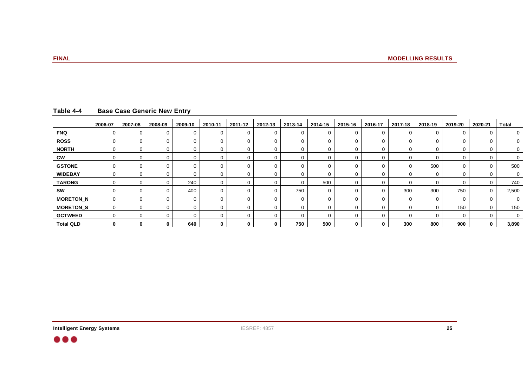|                      | Table 4-4 Base Case Generic New Entry                                                                                                                                           |          |  |  |              |  |  |  |
|----------------------|---------------------------------------------------------------------------------------------------------------------------------------------------------------------------------|----------|--|--|--------------|--|--|--|
|                      | _ <mark>  2006-07   2007-08   2008-09   2009-10   2010-11   2011-12   2012-13   2013-14   2014-15   2015-16   2016-17   2017-18   2018-19   2019-20   2020-21   Total __</mark> |          |  |  |              |  |  |  |
|                      |                                                                                                                                                                                 |          |  |  |              |  |  |  |
| <b>DOC</b>           |                                                                                                                                                                                 |          |  |  |              |  |  |  |
| <b>NORTH</b>         |                                                                                                                                                                                 |          |  |  |              |  |  |  |
|                      |                                                                                                                                                                                 |          |  |  |              |  |  |  |
| <b>GSTONE</b>        |                                                                                                                                                                                 |          |  |  |              |  |  |  |
| <b>WIDEBAY</b>       |                                                                                                                                                                                 |          |  |  |              |  |  |  |
| TARONG               |                                                                                                                                                                                 | $\sim$ 1 |  |  | $F^{\wedge}$ |  |  |  |
|                      |                                                                                                                                                                                 |          |  |  |              |  |  |  |
| MORETON_N            |                                                                                                                                                                                 |          |  |  |              |  |  |  |
| MORETON <sub>S</sub> |                                                                                                                                                                                 |          |  |  |              |  |  |  |
| <b>GCTWEED</b>       |                                                                                                                                                                                 |          |  |  |              |  |  |  |
| <b>Total QLD</b>     |                                                                                                                                                                                 | 640      |  |  | 500          |  |  |  |

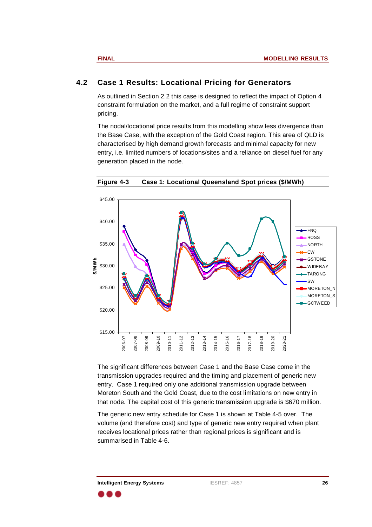## **4.2 Case 1 Results: Locational Pricing for Generators**

As outlined in Section 2.2 this case is designed to reflect the impact of Option 4 constraint formulation on the market, and <sup>a</sup> full regime of constraint support pricing. The contract of the contract of the pricing.

> The nodal/locational price results from this modelling show less divergence than the Base Case, with the exception of the Gold Coast region. This area of QLD is characterised by high demand growth forecasts and minimal capacity for new entry, i.e. limited numbers of locations/sites and <sup>a</sup> reliance on diesel fuel for any generation placed in the node.



**Figure 4-3 Case 1: Locational Queensland Spot prices (\$/MWh)**

The significant differences between Case 1 and the Base Case come in the transmission upgrades required and the timing and placement of generic new entry. Case 1 required only one additional transmission upgrade between Moreton South and the Gold Coast, due to the cost limitations on new entry in that node. The capital cost of this generic transmission upgrade is \$670 million.

The generic new entry schedule for Case 1 is shown at Table 4-5 over. The volume (and therefore cost) and type of generic new entry required when plant receives locational prices rather than regional prices is significant and is summarised in Table 4-6.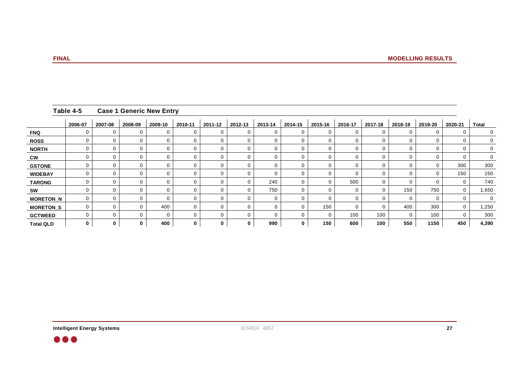|                                                                                                                                                                              | Table 4-5 Case 1 Generic New Entry |
|------------------------------------------------------------------------------------------------------------------------------------------------------------------------------|------------------------------------|
| _ <mark>_ 2006-07 _</mark> 2007-08 _ 2008-09 _ 2009-10 _ 2010-11 _ 2011-12 _ 2012-13 _ 2013-14 _ 2014-15 _ 2015-16 _ 2016-17 _ 2017-18 _ 2018-19 _ 2019-20 _ 2020-21 _ Total |                                    |
|                                                                                                                                                                              | <b>TNO</b>                         |
|                                                                                                                                                                              | ROSS                               |
|                                                                                                                                                                              | <b>NORTH</b>                       |
|                                                                                                                                                                              |                                    |
|                                                                                                                                                                              | GSTONE                             |
|                                                                                                                                                                              | <b>WIDEBAY</b>                     |
|                                                                                                                                                                              | <b>TARONG</b>                      |
|                                                                                                                                                                              |                                    |
|                                                                                                                                                                              | MORETON_N                          |
|                                                                                                                                                                              | MORETON <sub>S</sub>               |
|                                                                                                                                                                              | <b>GCTWEED</b>                     |
|                                                                                                                                                                              | <b>Total QLD</b>                   |

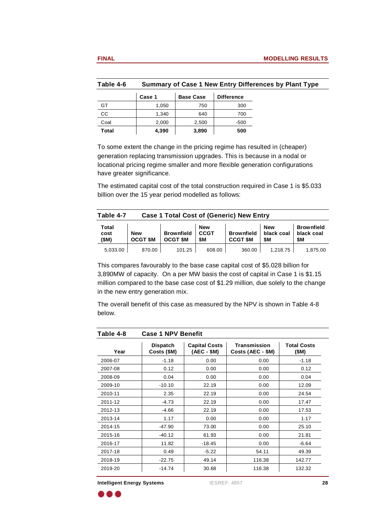| <b>Base Case</b><br>Case 1<br>$\sim$<br>1,050<br>1.210<br>40, ا<br>◡◡ | 2,000 |
|-----------------------------------------------------------------------|-------|
|                                                                       |       |
|                                                                       |       |
|                                                                       | 2.500 |

To some extent the change in the pricing regime has resulted in (cheaper) generation replacing transmission upgrades. This is because in <sup>a</sup> nodal or locational pricing regime smaller and more flexible generation configurations have greater significance.

**Table 4-6 Summary of Case 1 New Entry Differences by Plant Type**

The estimated capital cost of the total construction required in Case 1 is \$5.033 billion over the 15 year period modelled as follows:

| <b>Case 1 Total Cost of (Generic) New Entry</b>                                              |     | Table 4-7             |
|----------------------------------------------------------------------------------------------|-----|-----------------------|
| <b>Brownfield</b>                                                                            |     | $5 - 1$               |
| Brownfield CCGT<br>Brownfield   black coal   black coal                                      | New | cost                  |
| $\vert$ OCGT \$M $\vert$ OCGT \$M $\vert$ \$M<br>$CCGT$ \$M $\parallel$ \$M<br><b>1. 655</b> |     | (SM)                  |
| 360.00<br>1,218.75 1,875.00<br>10125<br>608.00<br>ן ט∠.ו טו                                  |     | 5,033.00<br>- 70.00 ه |

This compares favourably to the base case capital cost of \$5.028 billion for 3,890MW of capacity. On <sup>a</sup> per MW basis the cost of capital in Case 1 is \$1.15 million compared to the base case cost of \$1.29 million, due solely to the change in the new entry generation mix.

> The overall benefit of this case as measured by the NPV is shown in Table 4-8 below.

|                                                         | Table 4-8 Case 1 NPV Benefit |                                             |                                   |                                           |
|---------------------------------------------------------|------------------------------|---------------------------------------------|-----------------------------------|-------------------------------------------|
| Year<br>the control of the control of the control of    | Dispatch<br>Costs (\$M)      | <b>Capital Costs</b><br>$(\text{AEC} - $M)$ | Transmission<br>Costs (AEC - \$M) | <b>Total Costs</b><br>(M)                 |
| 2006-07                                                 | $-1.18$                      | 0.00                                        | 0.00                              | $-1.18$                                   |
| 2007-08                                                 | 0.12                         | 0.00                                        | 0.00                              | 0.12<br>the control of the control of the |
| 2008-09                                                 | 0.04                         | 0.00                                        | 0.00                              | 0.04                                      |
| 2009-10                                                 | $-10.10$                     | 22.19                                       | 0.00                              | 12.09                                     |
| 2010-11                                                 | 2.35                         | 22.19                                       | 0.00                              | 24.54                                     |
| 2011-12<br>the control of the control of the control of | $-4.73$                      | 22.19                                       | 0.00                              | 17.47                                     |
| 2012-13                                                 | $-4.66$                      | 22.19                                       | 0.00                              | 17.53                                     |
| 2013-14                                                 | 1.17                         | 0.00                                        | 0.00                              | 1.17                                      |
| 2014-15                                                 | $-47.90$                     | 73.00                                       | 0.00                              | 25.10                                     |
| 2015-16                                                 | $-40.12$                     | 61.93                                       | 0.00                              | 21.81                                     |
| 2016-17                                                 | 11.82                        | $-18.45$                                    | 0.00                              | $-6.64$                                   |
| 2017-18                                                 | 0.49                         | $-5.22$                                     | 54.11                             | 49.39                                     |
| 2018-19                                                 | $-22.75$                     | 49.14                                       | 116.38                            | 142.77                                    |
| 2019-20                                                 | $-14.74$                     | 30.68                                       | 116.38                            | 132.32                                    |

**Intelligent Energy Systems** IESREF: 4857 **28**

. . .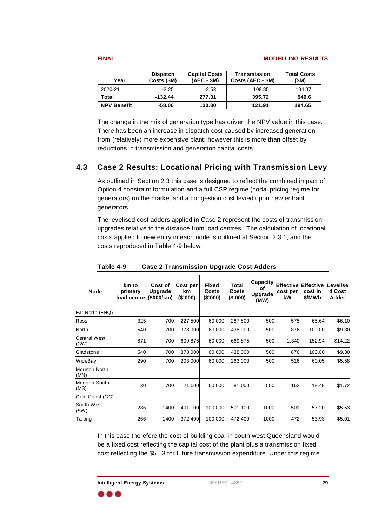| <b>Total Costs</b><br>(SM) | Capital Costs   Transmission  <br>(AEC - \$M)   Costs (AEC - \$M) | Dispatch   Capital Costs | $Costs$ (\$M) | Year               |
|----------------------------|-------------------------------------------------------------------|--------------------------|---------------|--------------------|
| 104.07                     | 108.85                                                            | בא כ                     | ے ۔           | 2020-21            |
| 540.6                      | 395.72                                                            | 277.31                   | $-132.44$     | <b>Total</b>       |
| 194.65                     | 121.91                                                            | 130.80                   | $-58.06$      | <b>NPV Benefit</b> |

The change in the mix of generation type has driven the NPV value in this case. There has been an increase in dispatch cost caused by increased generation from (relatively) more expensive plant; however this is more than offset by reductions in transmission and generation capital costs.

# **4.3 Case 2 Results: Locational Pricing with Transmission Levy**

As outlined in Section 2.3 this case is designed to reflect the combined impact of Option 4 constraint formulation and <sup>a</sup> full CSP regime (nodal pricing regime for generators) on the market and <sup>a</sup> congestion cost levied upon new entrant generators. The contract of the second series of  $\mathcal G$ 

> The levelised cost adders applied in Case 2 represent the costs of transmission upgrades relative to the distance from load centres. The calculation of locational costs applied to new entry in each node is outlined at Section 2.3.1, and the costs reproduced in Table 4-9 below.

|                                                              | Table 4-9<br>Case 2 Transmission Upgrade Cost Adders                                                                                                                                                                   |                         |
|--------------------------------------------------------------|------------------------------------------------------------------------------------------------------------------------------------------------------------------------------------------------------------------------|-------------------------|
| <b>Node</b>                                                  | km to Cost of Cost per Fixed Total Capacity Effective Effective Levelise<br>primary Upgrade km Costs Costs of Upgrade cost per cost in d Cost<br>load centre (\$000/km) (\$'000) (\$'000) (\$'000) (\$'000) (MW) Adder |                         |
| Far North (FNQ)                                              |                                                                                                                                                                                                                        |                         |
| Ross<br><b>Contract Contract Contract</b>                    | 700 227,500<br>60,000 287,500<br>325                                                                                                                                                                                   | 65.64<br>\$6.10         |
| North                                                        | 700 378,000<br>60,000 438,000                                                                                                                                                                                          | 100.00<br>\$9.30        |
| Central West<br>(CW)                                         | 700 609,875<br>60,000 669,875<br>871                                                                                                                                                                                   | 152.94 \$14.22<br>1.340 |
| Gladstone<br>the control of the control of                   | 700 378,000<br>60,000 438,000                                                                                                                                                                                          | \$9.30                  |
| WideBay                                                      | 700 203,000<br>60,000 263,000<br>290                                                                                                                                                                                   | \$5.58<br>60.05         |
| Moreton North<br>(MN)                                        |                                                                                                                                                                                                                        |                         |
| Moreton South<br>M <sub>S</sub>                              | 21,000<br>60,000<br>81,000<br><b>EOO</b>                                                                                                                                                                               | \$1.72<br>18.49         |
| $\sim$ $\sim$ $\sim$ $\sim$ $\sim$ $\sim$<br>Gold Coast (GC) |                                                                                                                                                                                                                        |                         |
| South West<br>(SW)                                           | 1400 401,100 100,000 501,100<br>1000                                                                                                                                                                                   | 57.20<br>\$5.53         |
| Tarong                                                       | 1400 372,400 100,000 472,400<br>266<br>1000                                                                                                                                                                            | 53.93 \$5.01<br>A72     |

In this case therefore the cost of building coal in south west Queensland would be <sup>a</sup> fixed cost reflecting the capital cost of the plant plus <sup>a</sup> transmission fixed cost reflecting the \$5.53 for future transmission expenditure Under this regime

. . .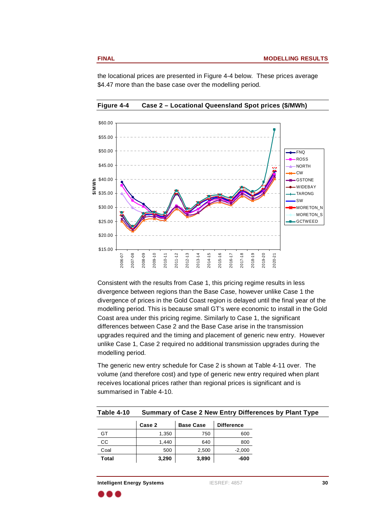

the locational prices are presented in Figure 4-4 below. These prices average \$4.47 more than the base case over the modelling period.

**Figure 4-4 Case 2 – Locational Queensland Spot prices (\$/MWh)**

Consistent with the results from Case 1, this pricing regime results in less divergence between regions than the Base Case, however unlike Case 1 the divergence of prices in the Gold Coast region is delayed until the final year of the modelling period. This is because small GT's were economic to install in the Gold Coast area under this pricing regime. Similarly to Case 1, the significant differences between Case 2 and the Base Case arise in the transmission upgrades required and the timing and placement of generic new entry. However unlike Case 1, Case 2 required no additional transmission upgrades during the modelling period.

> The generic new entry schedule for Case 2 is shown at Table 4-11 over. The volume (and therefore cost) and type of generic new entry required when plant receives locational prices rather than regional prices is significant and is summarised in Table 4-10.

| nary of Case 2 Nev<br>Table 4-1 <sup>o</sup><br>New Entry Differences by Plant Type<br>-------- |
|-------------------------------------------------------------------------------------------------|
|-------------------------------------------------------------------------------------------------|

|              | Case 2      | <b>Base Case</b>                             | <b>Difference</b> |
|--------------|-------------|----------------------------------------------|-------------------|
| $\sim$ $-$   | 1.25<br>uu  | 750                                          | 600               |
| $\sim$<br>◡◡ |             | 640                                          | 800               |
| uuu          | EOM<br>ັບບບ | 2,500                                        | $-2,000$          |
| <b>Total</b> | 3,290       | 3,890<br>the contract of the contract of the | -600              |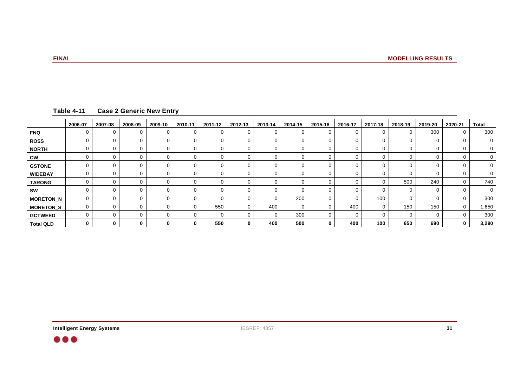| Table 4-11 Case 2 Generic New Entry                                                                                                                                    |                  |  |  |  |  |  |  |  |     |
|------------------------------------------------------------------------------------------------------------------------------------------------------------------------|------------------|--|--|--|--|--|--|--|-----|
| <u>  2006-07   2007-08   2008-09   2009-10   2010-11   2011-12   2012-13   2013-14   2014-15   2015-16   2016-17   2017-18   2018-19   2019-20   2020-21   Total  </u> |                  |  |  |  |  |  |  |  |     |
|                                                                                                                                                                        | FNQ              |  |  |  |  |  |  |  |     |
|                                                                                                                                                                        | ROSS             |  |  |  |  |  |  |  |     |
|                                                                                                                                                                        | <b>NORTH</b>     |  |  |  |  |  |  |  |     |
|                                                                                                                                                                        |                  |  |  |  |  |  |  |  |     |
|                                                                                                                                                                        | GSTONE           |  |  |  |  |  |  |  |     |
|                                                                                                                                                                        | <b>WIDEBAY</b>   |  |  |  |  |  |  |  |     |
|                                                                                                                                                                        | TARONG           |  |  |  |  |  |  |  |     |
|                                                                                                                                                                        |                  |  |  |  |  |  |  |  |     |
|                                                                                                                                                                        | MORETON_N        |  |  |  |  |  |  |  |     |
|                                                                                                                                                                        | MORETON_S        |  |  |  |  |  |  |  |     |
|                                                                                                                                                                        | <b>GCTWEED</b>   |  |  |  |  |  |  |  |     |
|                                                                                                                                                                        | <b>Total QLD</b> |  |  |  |  |  |  |  | 3.2 |

 $\bullet\bullet\bullet$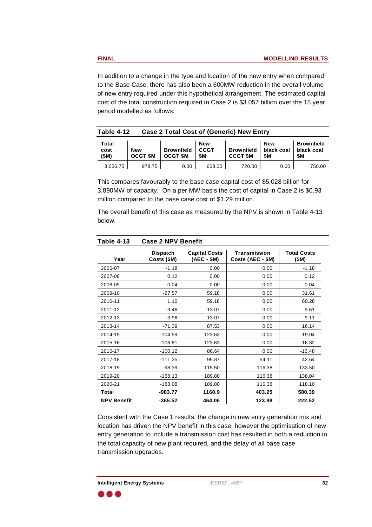In addition to <sup>a</sup> change in the type and location of the new entry when compared to the Base Case, there has also been <sup>a</sup> 600MW reduction in the overall volume of new entry required under this hypothetical arrangement. The estimated capital cost of the total construction required in Case 2 is \$3.057 billion over the 15 year period modelled as follows:

|                                      |                            | <b>Case 2 Total Cost of (Generic) New Entry</b> |            | <b>Table 4-12</b> |
|--------------------------------------|----------------------------|-------------------------------------------------|------------|-------------------|
| <b>Brownfield</b>                    |                            |                                                 |            | .                 |
| Brownfield   black coal   black coal |                            | <b>Brownfield CCGT</b>                          | <b>New</b> | cost              |
| $A = 1$                              | $CCGT$ \$M $\parallel$ \$M | $\vert$ OCGT \$M $\vert$ OCGT \$M $\vert$ \$M   |            | (0.8)             |
| 75000<br>1.90.01                     | 700y                       | 6080<br>$\sim$ 0.0 $\sim$                       | 978.7.     | 3,056.75          |

This compares favourably to the base case capital cost of \$5.028 billion for 3,890MW of capacity. On <sup>a</sup> per MW basis the cost of capital in Case 2 is \$0.93 million compared to the base case cost of \$1.29 million.

The overall benefit of this case as measured by the NPV is shown in Table 4-13 below.

| Table 4-13 Case 2 NPV Benefit   |           |                                                                           |                            |          |
|---------------------------------|-----------|---------------------------------------------------------------------------|----------------------------|----------|
| Dispatch<br>Costs (\$M)<br>Year |           | Capital Costs<br>(AEC - \$M)<br>Transmission<br>$\vert$ Costs (AEC - \$M) | <b>Total Costs</b><br>(SM) |          |
| 2006-07                         | $-1.18$   | 0.00                                                                      | 0.00                       | $-1.18$  |
| 2007-08                         | 0.12      | 0.00                                                                      | 0.00                       | 0.12     |
| 2008-09                         | 0.04      | 0.00                                                                      | 0.00                       | 0.04     |
| 2009-10                         | $-27.57$  | 59.18                                                                     | 0.00                       | 31.61    |
| 2010-11                         | 1.10      | 59.18                                                                     | 0.00                       | 60.28    |
| 2011-12                         | $-3.46$   | 13.07                                                                     | 0.00                       | 9.61     |
| 2012-13                         | $-3.96$   | 13.07                                                                     | 0.00                       | 9.11     |
| 2013-14                         | -71.39    | 87.53                                                                     | 0.00                       | 16.14    |
| 2014-15                         | $-104.59$ | 123.63                                                                    | 0.00                       | 19.04    |
| 2015-16                         | $-106.81$ | 123.63                                                                    | 0.00                       | 16.82    |
| 2016-17                         | $-100.12$ | 86.64                                                                     | 0.00                       | $-13.48$ |
| 2017-18                         | $-111.35$ | 99.87<br>54.11                                                            |                            | 42.64    |
| 2018-19                         | $-98.39$  | 116.38<br>115.50                                                          |                            | 133.50   |
| 2019-20                         | $-168.13$ | 116.38<br>189.80                                                          |                            | 138.04   |
| 2020-21                         | -188.08   | 116.38<br>189.80                                                          |                            | 118.10   |
| Total                           | $-983.77$ | 403.25<br>1160.9                                                          |                            | 580.39   |
| <b>NPV Benefit</b>              | $-365.52$ | 123.98<br>464.06                                                          |                            | 222.52   |

Consistent with the Case 1 results, the change in new entry generation mix and location has driven the NPV benefit in this case; however the optimisation of new entry generation to include <sup>a</sup> transmission cost has resulted in both <sup>a</sup> reduction in the total capacity of new plant required, and the delay of all base case transmission upgrades.

. . .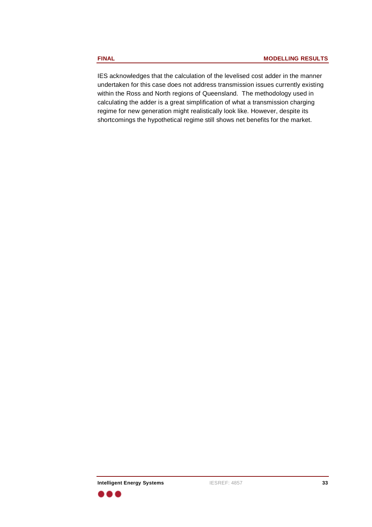IES acknowledges that the calculation of the levelised cost adder in the manner undertaken for this case does not address transmission issues currently existing within the Ross and North regions of Queensland. The methodology used in calculating the adder is <sup>a</sup> great simplification of what <sup>a</sup> transmission charging regime for new generation might realistically look like. However, despite its shortcomings the hypothetical regime still shows net benefits for the market.